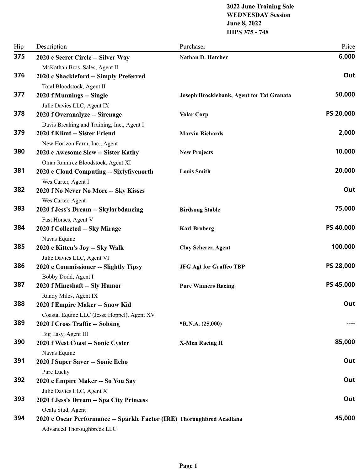#### **2022 June Training Sale WEDNESDAY Session June 8, 2022 HIPS 375 - 748**

| 375<br>6,000<br>2020 c Secret Circle -- Silver Way<br>Nathan D. Hatcher<br>McKathan Bros. Sales, Agent II<br>376<br>Out<br>2020 c Shackleford -- Simply Preferred<br>Total Bloodstock, Agent II<br>50,000<br>377<br>2020 f Munnings -- Single<br>Joseph Brocklebank, Agent for Tat Granata<br>Julie Davies LLC, Agent IX<br>PS 20,000<br>378<br>2020 f Overanalyze -- Sirenage<br><b>Volar Corp</b><br>Davis Breaking and Training, Inc., Agent I<br>2,000<br>379<br>2020 f Klimt -- Sister Friend<br><b>Marvin Richards</b><br>New Horizon Farm, Inc., Agent<br>10,000<br>380<br>2020 c Awesome Slew -- Sister Kathy<br><b>New Projects</b><br>Omar Ramirez Bloodstock, Agent XI<br>20,000<br>381<br>2020 c Cloud Computing -- Sixtyfivenorth<br><b>Louis Smith</b><br>Wes Carter, Agent I<br>382<br>Out<br>2020 f No Never No More -- Sky Kisses<br>Wes Carter, Agent<br>383<br>75,000<br>2020 f Jess's Dream -- Skylarbdancing<br><b>Birdsong Stable</b><br>Fast Horses, Agent V<br>PS 40,000<br>384<br>2020 f Collected -- Sky Mirage<br><b>Karl Broberg</b><br>Navas Equine<br>100,000<br>385<br>2020 c Kitten's Joy -- Sky Walk<br><b>Clay Scherer, Agent</b><br>Julie Davies LLC, Agent VI<br>PS 28,000<br>386<br>2020 c Commissioner -- Slightly Tipsy<br><b>JFG Agt for Graffeo TBP</b><br>Bobby Dodd, Agent I<br>PS 45,000<br>387<br>2020 f Mineshaft -- Sly Humor<br><b>Pure Winners Racing</b><br>Randy Miles, Agent IX<br>388<br>Out<br>2020 f Empire Maker -- Snow Kid<br>Coastal Equine LLC (Jesse Hoppel), Agent XV |
|-------------------------------------------------------------------------------------------------------------------------------------------------------------------------------------------------------------------------------------------------------------------------------------------------------------------------------------------------------------------------------------------------------------------------------------------------------------------------------------------------------------------------------------------------------------------------------------------------------------------------------------------------------------------------------------------------------------------------------------------------------------------------------------------------------------------------------------------------------------------------------------------------------------------------------------------------------------------------------------------------------------------------------------------------------------------------------------------------------------------------------------------------------------------------------------------------------------------------------------------------------------------------------------------------------------------------------------------------------------------------------------------------------------------------------------------------------------------------------------------------------------------------------------|
|                                                                                                                                                                                                                                                                                                                                                                                                                                                                                                                                                                                                                                                                                                                                                                                                                                                                                                                                                                                                                                                                                                                                                                                                                                                                                                                                                                                                                                                                                                                                     |
|                                                                                                                                                                                                                                                                                                                                                                                                                                                                                                                                                                                                                                                                                                                                                                                                                                                                                                                                                                                                                                                                                                                                                                                                                                                                                                                                                                                                                                                                                                                                     |
|                                                                                                                                                                                                                                                                                                                                                                                                                                                                                                                                                                                                                                                                                                                                                                                                                                                                                                                                                                                                                                                                                                                                                                                                                                                                                                                                                                                                                                                                                                                                     |
|                                                                                                                                                                                                                                                                                                                                                                                                                                                                                                                                                                                                                                                                                                                                                                                                                                                                                                                                                                                                                                                                                                                                                                                                                                                                                                                                                                                                                                                                                                                                     |
|                                                                                                                                                                                                                                                                                                                                                                                                                                                                                                                                                                                                                                                                                                                                                                                                                                                                                                                                                                                                                                                                                                                                                                                                                                                                                                                                                                                                                                                                                                                                     |
|                                                                                                                                                                                                                                                                                                                                                                                                                                                                                                                                                                                                                                                                                                                                                                                                                                                                                                                                                                                                                                                                                                                                                                                                                                                                                                                                                                                                                                                                                                                                     |
|                                                                                                                                                                                                                                                                                                                                                                                                                                                                                                                                                                                                                                                                                                                                                                                                                                                                                                                                                                                                                                                                                                                                                                                                                                                                                                                                                                                                                                                                                                                                     |
|                                                                                                                                                                                                                                                                                                                                                                                                                                                                                                                                                                                                                                                                                                                                                                                                                                                                                                                                                                                                                                                                                                                                                                                                                                                                                                                                                                                                                                                                                                                                     |
|                                                                                                                                                                                                                                                                                                                                                                                                                                                                                                                                                                                                                                                                                                                                                                                                                                                                                                                                                                                                                                                                                                                                                                                                                                                                                                                                                                                                                                                                                                                                     |
|                                                                                                                                                                                                                                                                                                                                                                                                                                                                                                                                                                                                                                                                                                                                                                                                                                                                                                                                                                                                                                                                                                                                                                                                                                                                                                                                                                                                                                                                                                                                     |
|                                                                                                                                                                                                                                                                                                                                                                                                                                                                                                                                                                                                                                                                                                                                                                                                                                                                                                                                                                                                                                                                                                                                                                                                                                                                                                                                                                                                                                                                                                                                     |
|                                                                                                                                                                                                                                                                                                                                                                                                                                                                                                                                                                                                                                                                                                                                                                                                                                                                                                                                                                                                                                                                                                                                                                                                                                                                                                                                                                                                                                                                                                                                     |
|                                                                                                                                                                                                                                                                                                                                                                                                                                                                                                                                                                                                                                                                                                                                                                                                                                                                                                                                                                                                                                                                                                                                                                                                                                                                                                                                                                                                                                                                                                                                     |
|                                                                                                                                                                                                                                                                                                                                                                                                                                                                                                                                                                                                                                                                                                                                                                                                                                                                                                                                                                                                                                                                                                                                                                                                                                                                                                                                                                                                                                                                                                                                     |
|                                                                                                                                                                                                                                                                                                                                                                                                                                                                                                                                                                                                                                                                                                                                                                                                                                                                                                                                                                                                                                                                                                                                                                                                                                                                                                                                                                                                                                                                                                                                     |
|                                                                                                                                                                                                                                                                                                                                                                                                                                                                                                                                                                                                                                                                                                                                                                                                                                                                                                                                                                                                                                                                                                                                                                                                                                                                                                                                                                                                                                                                                                                                     |
|                                                                                                                                                                                                                                                                                                                                                                                                                                                                                                                                                                                                                                                                                                                                                                                                                                                                                                                                                                                                                                                                                                                                                                                                                                                                                                                                                                                                                                                                                                                                     |
|                                                                                                                                                                                                                                                                                                                                                                                                                                                                                                                                                                                                                                                                                                                                                                                                                                                                                                                                                                                                                                                                                                                                                                                                                                                                                                                                                                                                                                                                                                                                     |
|                                                                                                                                                                                                                                                                                                                                                                                                                                                                                                                                                                                                                                                                                                                                                                                                                                                                                                                                                                                                                                                                                                                                                                                                                                                                                                                                                                                                                                                                                                                                     |
|                                                                                                                                                                                                                                                                                                                                                                                                                                                                                                                                                                                                                                                                                                                                                                                                                                                                                                                                                                                                                                                                                                                                                                                                                                                                                                                                                                                                                                                                                                                                     |
|                                                                                                                                                                                                                                                                                                                                                                                                                                                                                                                                                                                                                                                                                                                                                                                                                                                                                                                                                                                                                                                                                                                                                                                                                                                                                                                                                                                                                                                                                                                                     |
|                                                                                                                                                                                                                                                                                                                                                                                                                                                                                                                                                                                                                                                                                                                                                                                                                                                                                                                                                                                                                                                                                                                                                                                                                                                                                                                                                                                                                                                                                                                                     |
|                                                                                                                                                                                                                                                                                                                                                                                                                                                                                                                                                                                                                                                                                                                                                                                                                                                                                                                                                                                                                                                                                                                                                                                                                                                                                                                                                                                                                                                                                                                                     |
|                                                                                                                                                                                                                                                                                                                                                                                                                                                                                                                                                                                                                                                                                                                                                                                                                                                                                                                                                                                                                                                                                                                                                                                                                                                                                                                                                                                                                                                                                                                                     |
|                                                                                                                                                                                                                                                                                                                                                                                                                                                                                                                                                                                                                                                                                                                                                                                                                                                                                                                                                                                                                                                                                                                                                                                                                                                                                                                                                                                                                                                                                                                                     |
|                                                                                                                                                                                                                                                                                                                                                                                                                                                                                                                                                                                                                                                                                                                                                                                                                                                                                                                                                                                                                                                                                                                                                                                                                                                                                                                                                                                                                                                                                                                                     |
|                                                                                                                                                                                                                                                                                                                                                                                                                                                                                                                                                                                                                                                                                                                                                                                                                                                                                                                                                                                                                                                                                                                                                                                                                                                                                                                                                                                                                                                                                                                                     |
| 389<br>2020 f Cross Traffic -- Soloing<br>$*R.N.A. (25,000)$                                                                                                                                                                                                                                                                                                                                                                                                                                                                                                                                                                                                                                                                                                                                                                                                                                                                                                                                                                                                                                                                                                                                                                                                                                                                                                                                                                                                                                                                        |
|                                                                                                                                                                                                                                                                                                                                                                                                                                                                                                                                                                                                                                                                                                                                                                                                                                                                                                                                                                                                                                                                                                                                                                                                                                                                                                                                                                                                                                                                                                                                     |
| Big Easy, Agent III<br>85,000<br>390<br>2020 f West Coast -- Sonic Cyster<br><b>X-Men Racing II</b>                                                                                                                                                                                                                                                                                                                                                                                                                                                                                                                                                                                                                                                                                                                                                                                                                                                                                                                                                                                                                                                                                                                                                                                                                                                                                                                                                                                                                                 |
| Navas Equine                                                                                                                                                                                                                                                                                                                                                                                                                                                                                                                                                                                                                                                                                                                                                                                                                                                                                                                                                                                                                                                                                                                                                                                                                                                                                                                                                                                                                                                                                                                        |
| 391<br>Out<br>2020 f Super Saver -- Sonic Echo                                                                                                                                                                                                                                                                                                                                                                                                                                                                                                                                                                                                                                                                                                                                                                                                                                                                                                                                                                                                                                                                                                                                                                                                                                                                                                                                                                                                                                                                                      |
| Pure Lucky                                                                                                                                                                                                                                                                                                                                                                                                                                                                                                                                                                                                                                                                                                                                                                                                                                                                                                                                                                                                                                                                                                                                                                                                                                                                                                                                                                                                                                                                                                                          |
| 392<br>Out<br>2020 c Empire Maker -- So You Say                                                                                                                                                                                                                                                                                                                                                                                                                                                                                                                                                                                                                                                                                                                                                                                                                                                                                                                                                                                                                                                                                                                                                                                                                                                                                                                                                                                                                                                                                     |
| Julie Davies LLC, Agent X                                                                                                                                                                                                                                                                                                                                                                                                                                                                                                                                                                                                                                                                                                                                                                                                                                                                                                                                                                                                                                                                                                                                                                                                                                                                                                                                                                                                                                                                                                           |
| 393<br>Out<br>2020 f Jess's Dream -- Spa City Princess                                                                                                                                                                                                                                                                                                                                                                                                                                                                                                                                                                                                                                                                                                                                                                                                                                                                                                                                                                                                                                                                                                                                                                                                                                                                                                                                                                                                                                                                              |
| Ocala Stud, Agent                                                                                                                                                                                                                                                                                                                                                                                                                                                                                                                                                                                                                                                                                                                                                                                                                                                                                                                                                                                                                                                                                                                                                                                                                                                                                                                                                                                                                                                                                                                   |
| 45,000<br>394<br>2020 c Oscar Performance -- Sparkle Factor (IRE) Thoroughbred Acadiana                                                                                                                                                                                                                                                                                                                                                                                                                                                                                                                                                                                                                                                                                                                                                                                                                                                                                                                                                                                                                                                                                                                                                                                                                                                                                                                                                                                                                                             |
| Advanced Thoroughbreds LLC                                                                                                                                                                                                                                                                                                                                                                                                                                                                                                                                                                                                                                                                                                                                                                                                                                                                                                                                                                                                                                                                                                                                                                                                                                                                                                                                                                                                                                                                                                          |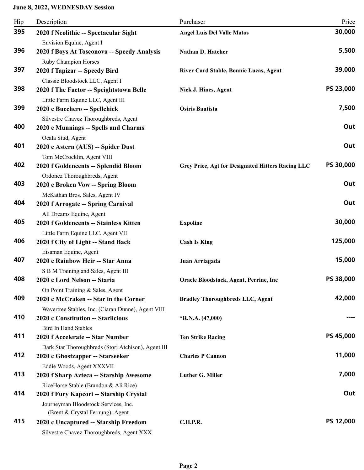| Hip | Description                                                        | Purchaser                                         | Price     |
|-----|--------------------------------------------------------------------|---------------------------------------------------|-----------|
| 395 | 2020 f Neolithic -- Spectacular Sight                              | <b>Angel Luis Del Valle Matos</b>                 | 30,000    |
|     | Envision Equine, Agent I                                           |                                                   |           |
| 396 | 2020 f Boys At Tosconova -- Speedy Analysis                        | Nathan D. Hatcher                                 | 5,500     |
|     | Ruby Champion Horses                                               |                                                   |           |
| 397 | 2020 f Tapizar -- Speedy Bird                                      | River Card Stable, Bonnie Lucas, Agent            | 39,000    |
|     | Classic Bloodstock LLC, Agent I                                    |                                                   |           |
| 398 | 2020 f The Factor -- Speightstown Belle                            | Nick J. Hines, Agent                              | PS 23,000 |
|     | Little Farm Equine LLC, Agent III                                  |                                                   |           |
| 399 | 2020 c Bucchero -- Spellchick                                      | <b>Osiris Bautista</b>                            | 7,500     |
| 400 | Silvestre Chavez Thoroughbreds, Agent                              |                                                   | Out       |
|     | 2020 c Munnings -- Spells and Charms                               |                                                   |           |
| 401 | Ocala Stud, Agent                                                  |                                                   | Out       |
|     | 2020 c Astern (AUS) -- Spider Dust                                 |                                                   |           |
| 402 | Tom McCrocklin, Agent VIII<br>2020 f Goldencents -- Splendid Bloom | Grey Price, Agt for Designated Hitters Racing LLC | PS 30,000 |
|     |                                                                    |                                                   |           |
| 403 | Ordonez Thoroughbreds, Agent<br>2020 c Broken Vow -- Spring Bloom  |                                                   | Out       |
|     | McKathan Bros. Sales, Agent IV                                     |                                                   |           |
| 404 | 2020 f Arrogate -- Spring Carnival                                 |                                                   | Out       |
|     | All Dreams Equine, Agent                                           |                                                   |           |
| 405 | 2020 f Goldencents -- Stainless Kitten                             | <b>Expoline</b>                                   | 30,000    |
|     | Little Farm Equine LLC, Agent VII                                  |                                                   |           |
| 406 | 2020 f City of Light -- Stand Back                                 | <b>Cash Is King</b>                               | 125,000   |
|     | Eisaman Equine, Agent                                              |                                                   |           |
| 407 | 2020 c Rainbow Heir -- Star Anna                                   | Juan Arriagada                                    | 15,000    |
|     | S B M Training and Sales, Agent III                                |                                                   |           |
| 408 | 2020 c Lord Nelson -- Staria                                       | Oracle Bloodstock, Agent, Perrine, Inc            | PS 38,000 |
|     | On Point Training & Sales, Agent                                   |                                                   |           |
| 409 | 2020 c McCraken -- Star in the Corner                              | <b>Bradley Thoroughbreds LLC, Agent</b>           | 42,000    |
|     | Wavertree Stables, Inc. (Ciaran Dunne), Agent VIII                 |                                                   |           |
| 410 | 2020 c Constitution -- Starlicious                                 | $*R.N.A. (47,000)$                                |           |
|     | <b>Bird In Hand Stables</b>                                        |                                                   |           |
| 411 | 2020 f Accelerate -- Star Number                                   | <b>Ten Strike Racing</b>                          | PS 45,000 |
|     | Dark Star Thoroughbreds (Stori Atchison), Agent III                |                                                   |           |
| 412 | 2020 c Ghostzapper -- Starseeker                                   | <b>Charles P Cannon</b>                           | 11,000    |
|     | Eddie Woods, Agent XXXVII                                          |                                                   |           |
| 413 | 2020 f Sharp Azteca -- Starship Awesome                            | Luther G. Miller                                  | 7,000     |
|     | RiceHorse Stable (Brandon & Ali Rice)                              |                                                   |           |
| 414 | 2020 f Fury Kapcori -- Starship Crystal                            |                                                   | Out       |
|     | Journeyman Bloodstock Services, Inc.                               |                                                   |           |
|     | (Brent & Crystal Fernung), Agent                                   |                                                   |           |
| 415 | 2020 c Uncaptured -- Starship Freedom                              | C.H.P.R.                                          | PS 12,000 |
|     | Silvestre Chavez Thoroughbreds, Agent XXX                          |                                                   |           |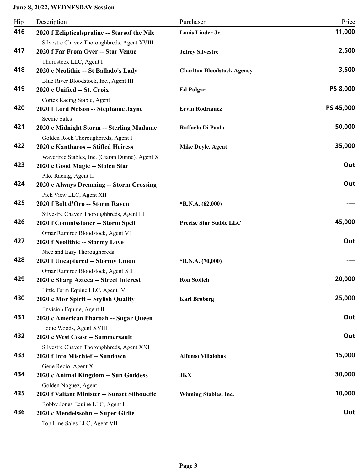| Hip | Description                                                                                            | Purchaser                         | Price           |
|-----|--------------------------------------------------------------------------------------------------------|-----------------------------------|-----------------|
| 416 | 2020 f Eclipticalspraline -- Starsof the Nile<br>Silvestre Chavez Thoroughbreds, Agent XVIII           | Louis Linder Jr.                  | 11,000          |
| 417 | 2020 f Far From Over -- Star Venue<br>Thorostock LLC, Agent I                                          | <b>Jefrey Silvestre</b>           | 2,500           |
| 418 | 2020 c Neolithic -- St Ballado's Lady<br>Blue River Bloodstock, Inc., Agent III                        | <b>Charlton Bloodstock Agency</b> | 3,500           |
| 419 | 2020 c Unified -- St. Croix<br>Cortez Racing Stable, Agent                                             | <b>Ed Pulgar</b>                  | <b>PS 8,000</b> |
| 420 | 2020 f Lord Nelson -- Stephanie Jayne<br>Scenic Sales                                                  | <b>Ervin Rodriguez</b>            | PS 45,000       |
| 421 | 2020 c Midnight Storm -- Sterling Madame<br>Golden Rock Thoroughbreds, Agent I                         | Raffaela Di Paola                 | 50,000          |
| 422 | 2020 c Kantharos -- Stifled Heiress<br>Wavertree Stables, Inc. (Ciaran Dunne), Agent X                 | Mike Doyle, Agent                 | 35,000          |
| 423 | 2020 c Good Magic -- Stolen Star<br>Pike Racing, Agent II                                              |                                   | Out             |
| 424 | 2020 c Always Dreaming -- Storm Crossing<br>Pick View LLC, Agent XII                                   |                                   | Out             |
| 425 | 2020 f Bolt d'Oro -- Storm Raven<br>Silvestre Chavez Thoroughbreds, Agent III                          | $*R.N.A. (62,000)$                |                 |
| 426 | 2020 f Commissioner -- Storm Spell                                                                     | <b>Precise Star Stable LLC</b>    | 45,000          |
| 427 | Omar Ramirez Bloodstock, Agent VI<br>2020 f Neolithic -- Stormy Love                                   |                                   | Out             |
| 428 | Nice and Easy Thoroughbreds<br>2020 f Uncaptured -- Stormy Union                                       | $*$ R.N.A. $(70,000)$             |                 |
| 429 | Omar Ramirez Bloodstock, Agent XII<br>2020 c Sharp Azteca -- Street Interest                           | <b>Ron Stolich</b>                | 20,000          |
| 430 | Little Farm Equine LLC, Agent IV<br>2020 c Mor Spirit -- Stylish Quality<br>Envision Equine, Agent II  | <b>Karl Broberg</b>               | 25,000          |
| 431 | 2020 c American Pharoah -- Sugar Queen<br>Eddie Woods, Agent XVIII                                     |                                   | Out             |
| 432 | 2020 c West Coast -- Summersault<br>Silvestre Chavez Thoroughbreds, Agent XXI                          |                                   | Out             |
| 433 | 2020 f Into Mischief -- Sundown<br>Gene Recio, Agent X                                                 | <b>Alfonso Villalobos</b>         | 15,000          |
| 434 | 2020 c Animal Kingdom -- Sun Goddess                                                                   | <b>JKX</b>                        | 30,000          |
| 435 | Golden Noguez, Agent<br>2020 f Valiant Minister -- Sunset Silhouette                                   | Winning Stables, Inc.             | 10,000          |
| 436 | Bobby Jones Equine LLC, Agent I<br>2020 c Mendelssohn -- Super Girlie<br>Top Line Sales LLC, Agent VII |                                   | Out             |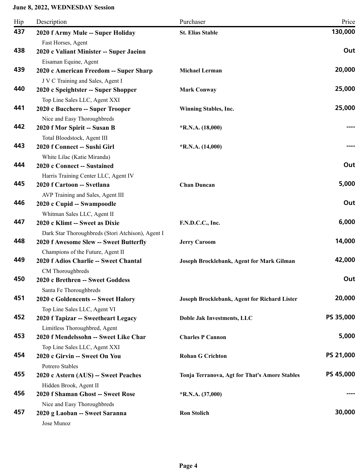| Hip | Description                                                   | Purchaser                                     | Price     |
|-----|---------------------------------------------------------------|-----------------------------------------------|-----------|
| 437 | 2020 f Army Mule -- Super Holiday                             | <b>St. Elias Stable</b>                       | 130,000   |
|     | Fast Horses, Agent                                            |                                               |           |
| 438 | 2020 c Valiant Minister -- Super Jaeinn                       |                                               | Out       |
|     | Eisaman Equine, Agent                                         |                                               |           |
| 439 | 2020 c American Freedom -- Super Sharp                        | <b>Michael Lerman</b>                         | 20,000    |
|     | J V C Training and Sales, Agent I                             |                                               |           |
| 440 | 2020 c Speightster -- Super Shopper                           | <b>Mark Conway</b>                            | 25,000    |
|     | Top Line Sales LLC, Agent XXI                                 |                                               |           |
| 441 | 2020 c Bucchero -- Super Trooper                              | <b>Winning Stables, Inc.</b>                  | 25,000    |
|     | Nice and Easy Thoroughbreds                                   |                                               |           |
| 442 | 2020 f Mor Spirit -- Susan B                                  | $*R.N.A. (18,000)$                            |           |
|     | Total Bloodstock, Agent III                                   |                                               |           |
| 443 | 2020 f Connect -- Sushi Girl                                  | $*R.N.A. (14,000)$                            |           |
| 444 | White Lilac (Katie Miranda)                                   |                                               | Out       |
|     | 2020 c Connect -- Sustained                                   |                                               |           |
| 445 | Harris Training Center LLC, Agent IV                          |                                               | 5,000     |
|     | 2020 f Cartoon -- Svetlana                                    | <b>Chan Duncan</b>                            |           |
| 446 | AVP Training and Sales, Agent III                             |                                               | Out       |
|     | 2020 c Cupid -- Swampoodle                                    |                                               |           |
| 447 | Whitman Sales LLC, Agent II<br>2020 c Klimt -- Sweet as Dixie | F.N.D.C.C., Inc.                              | 6,000     |
|     | Dark Star Thoroughbreds (Stori Atchison), Agent I             |                                               |           |
| 448 | 2020 f Awesome Slew -- Sweet Butterfly                        | <b>Jerry Caroom</b>                           | 14,000    |
|     | Champions of the Future, Agent II                             |                                               |           |
| 449 | 2020 f Adios Charlie -- Sweet Chantal                         | Joseph Brocklebank, Agent for Mark Gilman     | 42,000    |
|     | CM Thoroughbreds                                              |                                               |           |
| 450 | 2020 c Brethren -- Sweet Goddess                              |                                               | Out       |
|     | Santa Fe Thoroughbreds                                        |                                               |           |
| 451 | 2020 c Goldencents -- Sweet Halory                            | Joseph Brocklebank, Agent for Richard Lister  | 20,000    |
|     | Top Line Sales LLC, Agent VI                                  |                                               |           |
| 452 | 2020 f Tapizar -- Sweetheart Legacy                           | <b>Doble Jak Investments, LLC</b>             | PS 35,000 |
|     | Limitless Thoroughbred, Agent                                 |                                               |           |
| 453 | 2020 f Mendelssohn -- Sweet Like Char                         | <b>Charles P Cannon</b>                       | 5,000     |
|     | Top Line Sales LLC, Agent XXI                                 |                                               |           |
| 454 | 2020 c Girvin -- Sweet On You                                 | <b>Rohan G Crichton</b>                       | PS 21,000 |
|     | Potrero Stables                                               |                                               |           |
| 455 | 2020 c Astern (AUS) -- Sweet Peaches                          | Tonja Terranova, Agt for That's Amore Stables | PS 45,000 |
|     | Hidden Brook, Agent II                                        |                                               |           |
| 456 | 2020 f Shaman Ghost -- Sweet Rose                             | $*$ R.N.A. (37,000)                           | ----      |
|     | Nice and Easy Thoroughbreds                                   |                                               |           |
| 457 | 2020 g Laoban -- Sweet Saranna                                | <b>Ron Stolich</b>                            | 30,000    |
|     | Jose Munoz                                                    |                                               |           |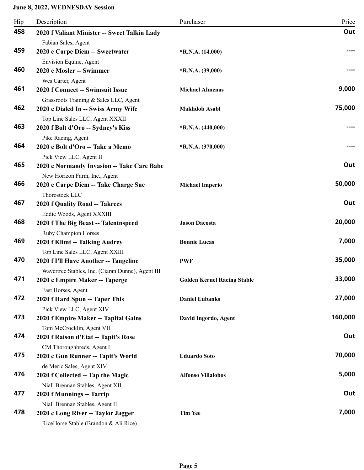| Hip | Description                                                           | Purchaser                          | Price   |
|-----|-----------------------------------------------------------------------|------------------------------------|---------|
| 458 | 2020 f Valiant Minister -- Sweet Talkin Lady                          |                                    | Out     |
|     | Fabian Sales, Agent                                                   |                                    |         |
| 459 | 2020 c Carpe Diem -- Sweetwater                                       | $*R.N.A. (14,000)$                 |         |
|     | Envision Equine, Agent                                                |                                    |         |
| 460 | 2020 c Mosler -- Swimmer                                              | $*$ R.N.A. (39,000)                |         |
|     | Wes Carter, Agent                                                     |                                    |         |
| 461 | 2020 f Connect -- Swimsuit Issue                                      | <b>Michael Almenas</b>             | 9,000   |
|     | Grassroots Training & Sales LLC, Agent                                |                                    |         |
| 462 | 2020 c Dialed In -- Swiss Army Wife                                   | <b>Makhdob Asabl</b>               | 75,000  |
| 463 | Top Line Sales LLC, Agent XXXII                                       |                                    |         |
|     | 2020 f Bolt d'Oro -- Sydney's Kiss                                    | $*$ R.N.A. (440,000)               |         |
| 464 | Pike Racing, Agent<br>2020 c Bolt d'Oro -- Take a Memo                |                                    |         |
|     |                                                                       | $*R.N.A. (370,000)$                |         |
| 465 | Pick View LLC, Agent II                                               |                                    | Out     |
|     | 2020 c Normandy Invasion -- Take Care Babe                            |                                    |         |
| 466 | New Horizon Farm, Inc., Agent<br>2020 c Carpe Diem -- Take Charge Sue | <b>Michael Imperio</b>             | 50,000  |
|     | Thorostock LLC                                                        |                                    |         |
| 467 | <b>2020 f Quality Road -- Takrees</b>                                 |                                    | Out     |
|     | Eddie Woods, Agent XXXIII                                             |                                    |         |
| 468 | 2020 f The Big Beast -- Talentnspeed                                  | <b>Jason Dacosta</b>               | 20,000  |
|     | Ruby Champion Horses                                                  |                                    |         |
| 469 | 2020 f Klimt -- Talking Audrey                                        | <b>Bonnie Lucas</b>                | 7,000   |
|     | Top Line Sales LLC, Agent XXIII                                       |                                    |         |
| 470 | 2020 f I'll Have Another -- Tangeline                                 | <b>PWF</b>                         | 35,000  |
|     | Wavertree Stables, Inc. (Ciaran Dunne), Agent III                     |                                    |         |
| 471 | 2020 c Empire Maker -- Taperge                                        | <b>Golden Kernel Racing Stable</b> | 33,000  |
|     | Fast Horses, Agent                                                    |                                    |         |
| 472 | 2020 f Hard Spun -- Taper This                                        | <b>Daniel Eubanks</b>              | 27,000  |
|     | Pick View LLC, Agent XIV                                              |                                    |         |
| 473 | 2020 f Empire Maker -- Tapital Gains                                  | David Ingordo, Agent               | 160,000 |
|     | Tom McCrocklin, Agent VII                                             |                                    |         |
| 474 | 2020 f Raison d'Etat -- Tapit's Rose                                  |                                    | Out     |
|     | CM Thoroughbreds, Agent I                                             |                                    |         |
| 475 | 2020 c Gun Runner -- Tapit's World                                    | <b>Eduardo Soto</b>                | 70,000  |
|     | de Meric Sales, Agent XIV                                             |                                    |         |
| 476 | 2020 f Collected -- Tap the Magic                                     | <b>Alfonso Villalobos</b>          | 5,000   |
|     | Niall Brennan Stables, Agent XII                                      |                                    |         |
| 477 | 2020 f Munnings -- Tarrip                                             |                                    | Out     |
|     | Niall Brennan Stables, Agent II                                       |                                    |         |
| 478 | 2020 c Long River -- Taylor Jagger                                    | <b>Tim Yee</b>                     | 7,000   |
|     | RiceHorse Stable (Brandon & Ali Rice)                                 |                                    |         |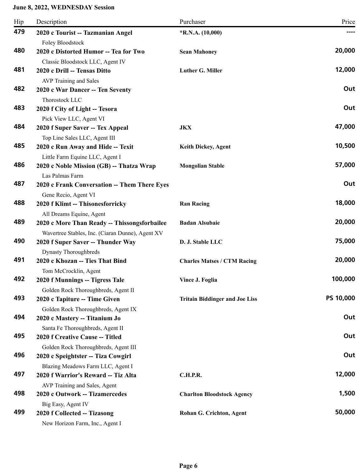| 479<br>2020 c Tourist -- Tazmanian Angel<br>$*$ R.N.A. (10,000)<br>Foley Bloodstock<br>20,000<br>480<br>2020 c Distorted Humor -- Tea for Two<br><b>Sean Mahoney</b><br>Classic Bloodstock LLC, Agent IV<br>481<br>12,000<br>2020 c Drill -- Tensas Ditto<br>Luther G. Miller<br>AVP Training and Sales<br>482<br>Out<br>2020 c War Dancer -- Ten Seventy<br>Thorostock LLC<br>483<br>Out<br>2020 f City of Light -- Tesora<br>Pick View LLC, Agent VI<br>484<br>47,000<br>2020 f Super Saver -- Tex Appeal<br>JKX<br>Top Line Sales LLC, Agent III<br>485<br>10,500<br>2020 c Run Away and Hide -- Texit<br><b>Keith Dickey, Agent</b><br>Little Farm Equine LLC, Agent I<br>57,000<br>486<br>2020 c Noble Mission (GB) -- Thatza Wrap<br><b>Mongolian Stable</b><br>Las Palmas Farm<br>487<br>Out<br>2020 c Frank Conversation -- Them There Eyes<br>Gene Recio, Agent VI<br>18,000<br>488<br>2020 f Klimt -- Thisonesforricky<br><b>Ran Racing</b><br>All Dreams Equine, Agent<br>20,000<br>489<br><b>Badan Alsubaie</b><br>2020 c More Than Ready -- Thissongsforbailee<br>Wavertree Stables, Inc. (Ciaran Dunne), Agent XV<br>75,000<br>490<br>2020 f Super Saver -- Thunder Way<br>D. J. Stable LLC<br>Dynasty Thoroughbreds<br>20,000<br>491<br>2020 c Khozan -- Ties That Bind<br><b>Charles Matses / CTM Racing</b><br>Tom McCrocklin, Agent<br>100,000<br>492<br>2020 f Munnings -- Tigress Tale<br>Vince J. Foglia<br>Golden Rock Thoroughbreds, Agent II<br>PS 10,000<br>493<br>2020 c Tapiture -- Time Given<br><b>Tritain Biddinger and Joe Liss</b><br>Golden Rock Thoroughbreds, Agent IX<br>494<br>Out<br>2020 c Mastery -- Titanium Jo<br>Santa Fe Thoroughbreds, Agent II<br>495<br>Out<br>2020 f Creative Cause -- Titled<br>Golden Rock Thoroughbreds, Agent III<br>496<br>Out<br>2020 c Speightster -- Tiza Cowgirl<br>Blazing Meadows Farm LLC, Agent I<br>497<br>2020 f Warrior's Reward -- Tiz Alta<br>C.H.P.R.<br>AVP Training and Sales, Agent<br>498<br>1,500<br>2020 c Outwork -- Tizamercedes<br><b>Charlton Bloodstock Agency</b><br>Big Easy, Agent IV<br>50,000<br>499<br>2020 f Collected -- Tizasong<br>Rohan G. Crichton, Agent | Hip | Description                     | Purchaser | Price |
|---------------------------------------------------------------------------------------------------------------------------------------------------------------------------------------------------------------------------------------------------------------------------------------------------------------------------------------------------------------------------------------------------------------------------------------------------------------------------------------------------------------------------------------------------------------------------------------------------------------------------------------------------------------------------------------------------------------------------------------------------------------------------------------------------------------------------------------------------------------------------------------------------------------------------------------------------------------------------------------------------------------------------------------------------------------------------------------------------------------------------------------------------------------------------------------------------------------------------------------------------------------------------------------------------------------------------------------------------------------------------------------------------------------------------------------------------------------------------------------------------------------------------------------------------------------------------------------------------------------------------------------------------------------------------------------------------------------------------------------------------------------------------------------------------------------------------------------------------------------------------------------------------------------------------------------------------------------------------------------------------------------------------------------------------------------------------------------------------------------------------------------------------------------------|-----|---------------------------------|-----------|-------|
| 12,000                                                                                                                                                                                                                                                                                                                                                                                                                                                                                                                                                                                                                                                                                                                                                                                                                                                                                                                                                                                                                                                                                                                                                                                                                                                                                                                                                                                                                                                                                                                                                                                                                                                                                                                                                                                                                                                                                                                                                                                                                                                                                                                                                              |     |                                 |           |       |
|                                                                                                                                                                                                                                                                                                                                                                                                                                                                                                                                                                                                                                                                                                                                                                                                                                                                                                                                                                                                                                                                                                                                                                                                                                                                                                                                                                                                                                                                                                                                                                                                                                                                                                                                                                                                                                                                                                                                                                                                                                                                                                                                                                     |     |                                 |           |       |
|                                                                                                                                                                                                                                                                                                                                                                                                                                                                                                                                                                                                                                                                                                                                                                                                                                                                                                                                                                                                                                                                                                                                                                                                                                                                                                                                                                                                                                                                                                                                                                                                                                                                                                                                                                                                                                                                                                                                                                                                                                                                                                                                                                     |     |                                 |           |       |
|                                                                                                                                                                                                                                                                                                                                                                                                                                                                                                                                                                                                                                                                                                                                                                                                                                                                                                                                                                                                                                                                                                                                                                                                                                                                                                                                                                                                                                                                                                                                                                                                                                                                                                                                                                                                                                                                                                                                                                                                                                                                                                                                                                     |     |                                 |           |       |
|                                                                                                                                                                                                                                                                                                                                                                                                                                                                                                                                                                                                                                                                                                                                                                                                                                                                                                                                                                                                                                                                                                                                                                                                                                                                                                                                                                                                                                                                                                                                                                                                                                                                                                                                                                                                                                                                                                                                                                                                                                                                                                                                                                     |     |                                 |           |       |
|                                                                                                                                                                                                                                                                                                                                                                                                                                                                                                                                                                                                                                                                                                                                                                                                                                                                                                                                                                                                                                                                                                                                                                                                                                                                                                                                                                                                                                                                                                                                                                                                                                                                                                                                                                                                                                                                                                                                                                                                                                                                                                                                                                     |     |                                 |           |       |
|                                                                                                                                                                                                                                                                                                                                                                                                                                                                                                                                                                                                                                                                                                                                                                                                                                                                                                                                                                                                                                                                                                                                                                                                                                                                                                                                                                                                                                                                                                                                                                                                                                                                                                                                                                                                                                                                                                                                                                                                                                                                                                                                                                     |     |                                 |           |       |
|                                                                                                                                                                                                                                                                                                                                                                                                                                                                                                                                                                                                                                                                                                                                                                                                                                                                                                                                                                                                                                                                                                                                                                                                                                                                                                                                                                                                                                                                                                                                                                                                                                                                                                                                                                                                                                                                                                                                                                                                                                                                                                                                                                     |     |                                 |           |       |
|                                                                                                                                                                                                                                                                                                                                                                                                                                                                                                                                                                                                                                                                                                                                                                                                                                                                                                                                                                                                                                                                                                                                                                                                                                                                                                                                                                                                                                                                                                                                                                                                                                                                                                                                                                                                                                                                                                                                                                                                                                                                                                                                                                     |     |                                 |           |       |
|                                                                                                                                                                                                                                                                                                                                                                                                                                                                                                                                                                                                                                                                                                                                                                                                                                                                                                                                                                                                                                                                                                                                                                                                                                                                                                                                                                                                                                                                                                                                                                                                                                                                                                                                                                                                                                                                                                                                                                                                                                                                                                                                                                     |     |                                 |           |       |
|                                                                                                                                                                                                                                                                                                                                                                                                                                                                                                                                                                                                                                                                                                                                                                                                                                                                                                                                                                                                                                                                                                                                                                                                                                                                                                                                                                                                                                                                                                                                                                                                                                                                                                                                                                                                                                                                                                                                                                                                                                                                                                                                                                     |     |                                 |           |       |
|                                                                                                                                                                                                                                                                                                                                                                                                                                                                                                                                                                                                                                                                                                                                                                                                                                                                                                                                                                                                                                                                                                                                                                                                                                                                                                                                                                                                                                                                                                                                                                                                                                                                                                                                                                                                                                                                                                                                                                                                                                                                                                                                                                     |     |                                 |           |       |
|                                                                                                                                                                                                                                                                                                                                                                                                                                                                                                                                                                                                                                                                                                                                                                                                                                                                                                                                                                                                                                                                                                                                                                                                                                                                                                                                                                                                                                                                                                                                                                                                                                                                                                                                                                                                                                                                                                                                                                                                                                                                                                                                                                     |     |                                 |           |       |
|                                                                                                                                                                                                                                                                                                                                                                                                                                                                                                                                                                                                                                                                                                                                                                                                                                                                                                                                                                                                                                                                                                                                                                                                                                                                                                                                                                                                                                                                                                                                                                                                                                                                                                                                                                                                                                                                                                                                                                                                                                                                                                                                                                     |     |                                 |           |       |
|                                                                                                                                                                                                                                                                                                                                                                                                                                                                                                                                                                                                                                                                                                                                                                                                                                                                                                                                                                                                                                                                                                                                                                                                                                                                                                                                                                                                                                                                                                                                                                                                                                                                                                                                                                                                                                                                                                                                                                                                                                                                                                                                                                     |     |                                 |           |       |
|                                                                                                                                                                                                                                                                                                                                                                                                                                                                                                                                                                                                                                                                                                                                                                                                                                                                                                                                                                                                                                                                                                                                                                                                                                                                                                                                                                                                                                                                                                                                                                                                                                                                                                                                                                                                                                                                                                                                                                                                                                                                                                                                                                     |     |                                 |           |       |
|                                                                                                                                                                                                                                                                                                                                                                                                                                                                                                                                                                                                                                                                                                                                                                                                                                                                                                                                                                                                                                                                                                                                                                                                                                                                                                                                                                                                                                                                                                                                                                                                                                                                                                                                                                                                                                                                                                                                                                                                                                                                                                                                                                     |     |                                 |           |       |
|                                                                                                                                                                                                                                                                                                                                                                                                                                                                                                                                                                                                                                                                                                                                                                                                                                                                                                                                                                                                                                                                                                                                                                                                                                                                                                                                                                                                                                                                                                                                                                                                                                                                                                                                                                                                                                                                                                                                                                                                                                                                                                                                                                     |     |                                 |           |       |
|                                                                                                                                                                                                                                                                                                                                                                                                                                                                                                                                                                                                                                                                                                                                                                                                                                                                                                                                                                                                                                                                                                                                                                                                                                                                                                                                                                                                                                                                                                                                                                                                                                                                                                                                                                                                                                                                                                                                                                                                                                                                                                                                                                     |     |                                 |           |       |
|                                                                                                                                                                                                                                                                                                                                                                                                                                                                                                                                                                                                                                                                                                                                                                                                                                                                                                                                                                                                                                                                                                                                                                                                                                                                                                                                                                                                                                                                                                                                                                                                                                                                                                                                                                                                                                                                                                                                                                                                                                                                                                                                                                     |     |                                 |           |       |
|                                                                                                                                                                                                                                                                                                                                                                                                                                                                                                                                                                                                                                                                                                                                                                                                                                                                                                                                                                                                                                                                                                                                                                                                                                                                                                                                                                                                                                                                                                                                                                                                                                                                                                                                                                                                                                                                                                                                                                                                                                                                                                                                                                     |     |                                 |           |       |
|                                                                                                                                                                                                                                                                                                                                                                                                                                                                                                                                                                                                                                                                                                                                                                                                                                                                                                                                                                                                                                                                                                                                                                                                                                                                                                                                                                                                                                                                                                                                                                                                                                                                                                                                                                                                                                                                                                                                                                                                                                                                                                                                                                     |     |                                 |           |       |
|                                                                                                                                                                                                                                                                                                                                                                                                                                                                                                                                                                                                                                                                                                                                                                                                                                                                                                                                                                                                                                                                                                                                                                                                                                                                                                                                                                                                                                                                                                                                                                                                                                                                                                                                                                                                                                                                                                                                                                                                                                                                                                                                                                     |     |                                 |           |       |
|                                                                                                                                                                                                                                                                                                                                                                                                                                                                                                                                                                                                                                                                                                                                                                                                                                                                                                                                                                                                                                                                                                                                                                                                                                                                                                                                                                                                                                                                                                                                                                                                                                                                                                                                                                                                                                                                                                                                                                                                                                                                                                                                                                     |     |                                 |           |       |
|                                                                                                                                                                                                                                                                                                                                                                                                                                                                                                                                                                                                                                                                                                                                                                                                                                                                                                                                                                                                                                                                                                                                                                                                                                                                                                                                                                                                                                                                                                                                                                                                                                                                                                                                                                                                                                                                                                                                                                                                                                                                                                                                                                     |     |                                 |           |       |
|                                                                                                                                                                                                                                                                                                                                                                                                                                                                                                                                                                                                                                                                                                                                                                                                                                                                                                                                                                                                                                                                                                                                                                                                                                                                                                                                                                                                                                                                                                                                                                                                                                                                                                                                                                                                                                                                                                                                                                                                                                                                                                                                                                     |     |                                 |           |       |
|                                                                                                                                                                                                                                                                                                                                                                                                                                                                                                                                                                                                                                                                                                                                                                                                                                                                                                                                                                                                                                                                                                                                                                                                                                                                                                                                                                                                                                                                                                                                                                                                                                                                                                                                                                                                                                                                                                                                                                                                                                                                                                                                                                     |     |                                 |           |       |
|                                                                                                                                                                                                                                                                                                                                                                                                                                                                                                                                                                                                                                                                                                                                                                                                                                                                                                                                                                                                                                                                                                                                                                                                                                                                                                                                                                                                                                                                                                                                                                                                                                                                                                                                                                                                                                                                                                                                                                                                                                                                                                                                                                     |     |                                 |           |       |
|                                                                                                                                                                                                                                                                                                                                                                                                                                                                                                                                                                                                                                                                                                                                                                                                                                                                                                                                                                                                                                                                                                                                                                                                                                                                                                                                                                                                                                                                                                                                                                                                                                                                                                                                                                                                                                                                                                                                                                                                                                                                                                                                                                     |     |                                 |           |       |
|                                                                                                                                                                                                                                                                                                                                                                                                                                                                                                                                                                                                                                                                                                                                                                                                                                                                                                                                                                                                                                                                                                                                                                                                                                                                                                                                                                                                                                                                                                                                                                                                                                                                                                                                                                                                                                                                                                                                                                                                                                                                                                                                                                     |     |                                 |           |       |
|                                                                                                                                                                                                                                                                                                                                                                                                                                                                                                                                                                                                                                                                                                                                                                                                                                                                                                                                                                                                                                                                                                                                                                                                                                                                                                                                                                                                                                                                                                                                                                                                                                                                                                                                                                                                                                                                                                                                                                                                                                                                                                                                                                     |     |                                 |           |       |
|                                                                                                                                                                                                                                                                                                                                                                                                                                                                                                                                                                                                                                                                                                                                                                                                                                                                                                                                                                                                                                                                                                                                                                                                                                                                                                                                                                                                                                                                                                                                                                                                                                                                                                                                                                                                                                                                                                                                                                                                                                                                                                                                                                     |     |                                 |           |       |
|                                                                                                                                                                                                                                                                                                                                                                                                                                                                                                                                                                                                                                                                                                                                                                                                                                                                                                                                                                                                                                                                                                                                                                                                                                                                                                                                                                                                                                                                                                                                                                                                                                                                                                                                                                                                                                                                                                                                                                                                                                                                                                                                                                     |     |                                 |           |       |
|                                                                                                                                                                                                                                                                                                                                                                                                                                                                                                                                                                                                                                                                                                                                                                                                                                                                                                                                                                                                                                                                                                                                                                                                                                                                                                                                                                                                                                                                                                                                                                                                                                                                                                                                                                                                                                                                                                                                                                                                                                                                                                                                                                     |     |                                 |           |       |
|                                                                                                                                                                                                                                                                                                                                                                                                                                                                                                                                                                                                                                                                                                                                                                                                                                                                                                                                                                                                                                                                                                                                                                                                                                                                                                                                                                                                                                                                                                                                                                                                                                                                                                                                                                                                                                                                                                                                                                                                                                                                                                                                                                     |     |                                 |           |       |
|                                                                                                                                                                                                                                                                                                                                                                                                                                                                                                                                                                                                                                                                                                                                                                                                                                                                                                                                                                                                                                                                                                                                                                                                                                                                                                                                                                                                                                                                                                                                                                                                                                                                                                                                                                                                                                                                                                                                                                                                                                                                                                                                                                     |     |                                 |           |       |
|                                                                                                                                                                                                                                                                                                                                                                                                                                                                                                                                                                                                                                                                                                                                                                                                                                                                                                                                                                                                                                                                                                                                                                                                                                                                                                                                                                                                                                                                                                                                                                                                                                                                                                                                                                                                                                                                                                                                                                                                                                                                                                                                                                     |     |                                 |           |       |
|                                                                                                                                                                                                                                                                                                                                                                                                                                                                                                                                                                                                                                                                                                                                                                                                                                                                                                                                                                                                                                                                                                                                                                                                                                                                                                                                                                                                                                                                                                                                                                                                                                                                                                                                                                                                                                                                                                                                                                                                                                                                                                                                                                     |     |                                 |           |       |
|                                                                                                                                                                                                                                                                                                                                                                                                                                                                                                                                                                                                                                                                                                                                                                                                                                                                                                                                                                                                                                                                                                                                                                                                                                                                                                                                                                                                                                                                                                                                                                                                                                                                                                                                                                                                                                                                                                                                                                                                                                                                                                                                                                     |     |                                 |           |       |
|                                                                                                                                                                                                                                                                                                                                                                                                                                                                                                                                                                                                                                                                                                                                                                                                                                                                                                                                                                                                                                                                                                                                                                                                                                                                                                                                                                                                                                                                                                                                                                                                                                                                                                                                                                                                                                                                                                                                                                                                                                                                                                                                                                     |     |                                 |           |       |
|                                                                                                                                                                                                                                                                                                                                                                                                                                                                                                                                                                                                                                                                                                                                                                                                                                                                                                                                                                                                                                                                                                                                                                                                                                                                                                                                                                                                                                                                                                                                                                                                                                                                                                                                                                                                                                                                                                                                                                                                                                                                                                                                                                     |     | New Horizon Farm, Inc., Agent I |           |       |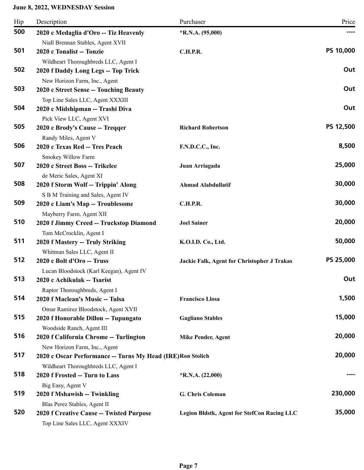| Hip | Description                                                                                         | Purchaser                                          | Price     |
|-----|-----------------------------------------------------------------------------------------------------|----------------------------------------------------|-----------|
| 500 | 2020 c Medaglia d'Oro -- Tiz Heavenly                                                               | $*R.N.A. (95,000)$                                 |           |
| 501 | Niall Brennan Stables, Agent XVII<br>2020 c Tonalist -- Tonzie                                      | <b>C.H.P.R.</b>                                    | PS 10,000 |
| 502 | Wildheart Thoroughbreds LLC, Agent I<br>2020 f Daddy Long Legs -- Top Trick                         |                                                    | Out       |
| 503 | New Horizon Farm, Inc., Agent<br>2020 c Street Sense -- Touching Beauty                             |                                                    | Out       |
| 504 | Top Line Sales LLC, Agent XXXIII<br>2020 c Midshipman -- Trashi Diva<br>Pick View LLC, Agent XVI    |                                                    | Out       |
| 505 | 2020 c Brody's Cause -- Treqqer<br>Randy Miles, Agent V                                             | <b>Richard Robertson</b>                           | PS 12,500 |
| 506 | 2020 c Texas Red -- Tres Peach<br>Smokey Willow Farm                                                | F.N.D.C.C., Inc.                                   | 8,500     |
| 507 | 2020 c Street Boss -- Trikelee<br>de Meric Sales, Agent XI                                          | Juan Arriagada                                     | 25,000    |
| 508 | 2020 f Storm Wolf -- Trippin' Along<br>S B M Training and Sales, Agent IV                           | <b>Ahmad Alabdullatif</b>                          | 30,000    |
| 509 | 2020 c Liam's Map -- Troublesome<br>Mayberry Farm, Agent XII                                        | <b>C.H.P.R.</b>                                    | 30,000    |
| 510 | 2020 f Jimmy Creed -- Truckstop Diamond<br>Tom McCrocklin, Agent I                                  | <b>Joel Sainer</b>                                 | 20,000    |
| 511 | 2020 f Mastery -- Truly Striking<br>Whitman Sales LLC, Agent II                                     | K.O.I.D. Co., Ltd.                                 | 50,000    |
| 512 | 2020 c Bolt d'Oro -- Truss<br>Lucan Bloodstock (Karl Keegan), Agent IV                              | <b>Jackie Falk, Agent for Christopher J Trakas</b> | PS 25,000 |
| 513 | 2020 c Achikulak -- Tsarist<br>Raptor Thoroughbreds, Agent I                                        |                                                    | Out       |
| 514 | 2020 f Maclean's Music -- Tulsa<br>Omar Ramirez Bloodstock, Agent XVII                              | <b>Francisco Llosa</b>                             | 1,500     |
| 515 | 2020 f Honorable Dillon -- Tupungato<br>Woodside Ranch, Agent III                                   | <b>Gagliano Stables</b>                            | 15,000    |
| 516 | 2020 f California Chrome -- Turlington<br>New Horizon Farm, Inc., Agent                             | <b>Mike Pender, Agent</b>                          | 20,000    |
| 517 | 2020 c Oscar Performance -- Turns My Head (IRE) Ron Stolich<br>Wildheart Thoroughbreds LLC, Agent I |                                                    | 20,000    |
| 518 | 2020 f Frosted -- Turn to Lass<br>Big Easy, Agent V                                                 | $*R.N.A. (22,000)$                                 |           |
| 519 | 2020 f Mshawish -- Twinkling<br>Blas Perez Stables, Agent II                                        | G. Chris Coleman                                   | 230,000   |
| 520 | 2020 f Creative Cause -- Twisted Purpose<br>Top Line Sales LLC, Agent XXXIV                         | Legion Bldstk, Agent for StefCon Racing LLC        | 35,000    |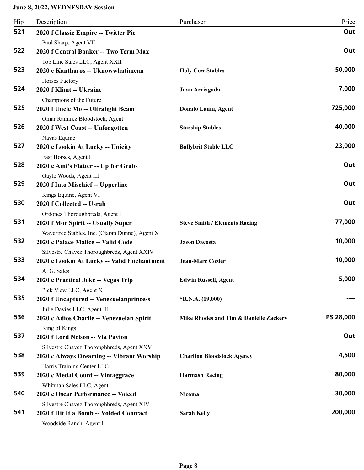| Hip | Description                                                          | Purchaser                              | Price     |
|-----|----------------------------------------------------------------------|----------------------------------------|-----------|
| 521 | 2020 f Classic Empire -- Twitter Pie                                 |                                        | Out       |
|     | Paul Sharp, Agent VII                                                |                                        |           |
| 522 | 2020 f Central Banker -- Two Term Max                                |                                        | Out       |
| 523 | Top Line Sales LLC, Agent XXII<br>2020 c Kantharos -- Uknowwhatimean | <b>Holy Cow Stables</b>                | 50,000    |
|     | Horses Factory                                                       |                                        |           |
| 524 | 2020 f Klimt -- Ukraine                                              | Juan Arriagada                         | 7,000     |
|     | Champions of the Future                                              |                                        |           |
| 525 | 2020 f Uncle Mo -- Ultralight Beam                                   | Donato Lanni, Agent                    | 725,000   |
|     | Omar Ramirez Bloodstock, Agent                                       |                                        |           |
| 526 | 2020 f West Coast -- Unforgotten                                     | <b>Starship Stables</b>                | 40,000    |
|     | Navas Equine                                                         |                                        |           |
| 527 | 2020 c Lookin At Lucky -- Unicity                                    | <b>Ballybrit Stable LLC</b>            | 23,000    |
|     | Fast Horses, Agent II                                                |                                        |           |
| 528 | 2020 c Ami's Flatter -- Up for Grabs                                 |                                        | Out       |
| 529 | Gayle Woods, Agent III<br>2020 f Into Mischief -- Upperline          |                                        | Out       |
|     | Kings Equine, Agent VI                                               |                                        |           |
| 530 | 2020 f Collected -- Usrah                                            |                                        | Out       |
|     | Ordonez Thoroughbreds, Agent I                                       |                                        |           |
| 531 | 2020 f Mor Spirit -- Usually Super                                   | <b>Steve Smith / Elements Racing</b>   | 77,000    |
|     | Wavertree Stables, Inc. (Ciaran Dunne), Agent X                      |                                        |           |
| 532 | 2020 c Palace Malice -- Valid Code                                   | <b>Jason Dacosta</b>                   | 10,000    |
|     | Silvestre Chavez Thoroughbreds, Agent XXIV                           |                                        |           |
| 533 | 2020 c Lookin At Lucky -- Valid Enchantment                          | <b>Jean-Marc Cozier</b>                | 10,000    |
|     | A. G. Sales                                                          |                                        |           |
| 534 | 2020 c Practical Joke -- Vegas Trip                                  | <b>Edwin Russell, Agent</b>            | 5,000     |
|     | Pick View LLC, Agent X                                               |                                        |           |
| 535 | 2020 f Uncaptured -- Venezuelanprincess                              | $*R.N.A. (19,000)$                     | ----      |
| 536 | Julie Davies LLC, Agent III                                          |                                        | PS 28,000 |
|     | 2020 c Adios Charlie -- Venezuelan Spirit                            | Mike Rhodes and Tim & Danielle Zackery |           |
| 537 | King of Kings<br>2020 f Lord Nelson -- Via Pavion                    |                                        | Out       |
|     | Silvestre Chavez Thoroughbreds, Agent XXV                            |                                        |           |
| 538 | 2020 c Always Dreaming -- Vibrant Worship                            | <b>Charlton Bloodstock Agency</b>      | 4,500     |
|     | Harris Training Center LLC                                           |                                        |           |
| 539 | 2020 c Medal Count -- Vintaggrace                                    | <b>Harmash Racing</b>                  | 80,000    |
|     | Whitman Sales LLC, Agent                                             |                                        |           |
| 540 | 2020 c Oscar Performance -- Voiced                                   | Nicoma                                 | 30,000    |
|     | Silvestre Chavez Thoroughbreds, Agent XIV                            |                                        |           |
| 541 | 2020 f Hit It a Bomb -- Voided Contract<br>Woodside Ranch, Agent I   | <b>Sarah Kelly</b>                     | 200,000   |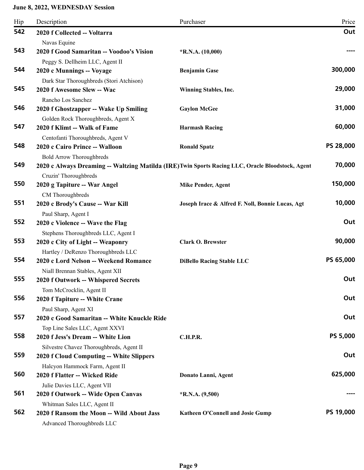| Hip | Description                                                         | Purchaser                                                                                         | Price            |
|-----|---------------------------------------------------------------------|---------------------------------------------------------------------------------------------------|------------------|
| 542 | 2020 f Collected -- Voltarra                                        |                                                                                                   | Out              |
|     | Navas Equine                                                        |                                                                                                   |                  |
| 543 | 2020 f Good Samaritan -- Voodoo's Vision                            | $*R.N.A. (10,000)$                                                                                |                  |
|     | Peggy S. Dellheim LLC, Agent II                                     |                                                                                                   |                  |
| 544 | 2020 c Munnings -- Voyage                                           | <b>Benjamin Gase</b>                                                                              | 300,000          |
|     | Dark Star Thoroughbreds (Stori Atchison)                            |                                                                                                   |                  |
| 545 | 2020 f Awesome Slew -- Wac                                          | Winning Stables, Inc.                                                                             | 29,000           |
| 546 | Rancho Los Sanchez                                                  |                                                                                                   | 31,000           |
|     | 2020 f Ghostzapper -- Wake Up Smiling                               | <b>Gaylon McGee</b>                                                                               |                  |
| 547 | Golden Rock Thoroughbreds, Agent X                                  |                                                                                                   | 60,000           |
|     | 2020 f Klimt -- Walk of Fame                                        | <b>Harmash Racing</b>                                                                             |                  |
| 548 | Centofanti Thoroughbreds, Agent V<br>2020 c Cairo Prince -- Walloon | <b>Ronald Spatz</b>                                                                               | <b>PS 28,000</b> |
|     | <b>Bold Arrow Thoroughbreds</b>                                     |                                                                                                   |                  |
| 549 |                                                                     | 2020 c Always Dreaming -- Waltzing Matilda (IRE) Twin Sports Racing LLC, Oracle Bloodstock, Agent | 70,000           |
|     | Cruzin' Thoroughbreds                                               |                                                                                                   |                  |
| 550 | 2020 g Tapiture -- War Angel                                        | <b>Mike Pender, Agent</b>                                                                         | 150,000          |
|     | CM Thoroughbreds                                                    |                                                                                                   |                  |
| 551 | 2020 c Brody's Cause -- War Kill                                    | Joseph Irace & Alfred F. Noll, Bonnie Lucas, Agt                                                  | 10,000           |
|     | Paul Sharp, Agent I                                                 |                                                                                                   |                  |
| 552 | 2020 c Violence -- Wave the Flag                                    |                                                                                                   | Out              |
|     | Stephens Thoroughbreds LLC, Agent I                                 |                                                                                                   |                  |
| 553 | 2020 c City of Light -- Weaponry                                    | <b>Clark O. Brewster</b>                                                                          | 90,000           |
|     | Hartley / DeRenzo Thoroughbreds LLC                                 |                                                                                                   |                  |
| 554 | 2020 c Lord Nelson -- Weekend Romance                               | <b>DiBello Racing Stable LLC</b>                                                                  | PS 65,000        |
|     | Niall Brennan Stables, Agent XII                                    |                                                                                                   |                  |
| 555 | 2020 f Outwork -- Whispered Secrets                                 |                                                                                                   | Out              |
|     | Tom McCrocklin, Agent II                                            |                                                                                                   |                  |
| 556 | 2020 f Tapiture -- White Crane                                      |                                                                                                   | Out              |
|     | Paul Sharp, Agent XI                                                |                                                                                                   |                  |
| 557 | 2020 c Good Samaritan -- White Knuckle Ride                         |                                                                                                   | Out              |
|     | Top Line Sales LLC, Agent XXVI                                      |                                                                                                   |                  |
| 558 | 2020 f Jess's Dream -- White Lion                                   | <b>C.H.P.R.</b>                                                                                   | <b>PS 5,000</b>  |
| 559 | Silvestre Chavez Thoroughbreds, Agent II                            |                                                                                                   | Out              |
|     | 2020 f Cloud Computing -- White Slippers                            |                                                                                                   |                  |
| 560 | Halcyon Hammock Farm, Agent II<br>2020 f Flatter -- Wicked Ride     |                                                                                                   | 625,000          |
|     |                                                                     | Donato Lanni, Agent                                                                               |                  |
| 561 | Julie Davies LLC, Agent VII<br>2020 f Outwork -- Wide Open Canvas   | $*$ R.N.A. $(9,500)$                                                                              |                  |
|     | Whitman Sales LLC, Agent II                                         |                                                                                                   |                  |
| 562 | 2020 f Ransom the Moon -- Wild About Jass                           | Katheen O'Connell and Josie Gump                                                                  | PS 19,000        |
|     | Advanced Thoroughbreds LLC                                          |                                                                                                   |                  |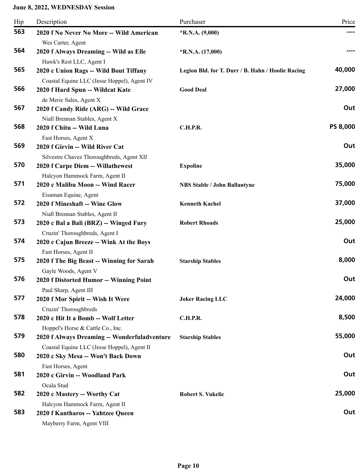| Hip | Description                                                        | Purchaser                                         | Price           |
|-----|--------------------------------------------------------------------|---------------------------------------------------|-----------------|
| 563 | 2020 f No Never No More -- Wild American                           | *R.N.A. $(9,000)$                                 |                 |
|     | Wes Carter, Agent                                                  |                                                   |                 |
| 564 | 2020 f Always Dreaming -- Wild as Elle                             | $*$ R.N.A. $(17,000)$                             |                 |
|     | Hawk's Rest LLC, Agent I                                           |                                                   |                 |
| 565 | 2020 c Union Rags -- Wild Bout Tiffany                             | Legion Bld. for T. Durr / B. Hahn / Hoolie Racing | 40,000          |
|     | Coastal Equine LLC (Jesse Hoppel), Agent IV                        |                                                   |                 |
| 566 | 2020 f Hard Spun -- Wildcat Kate                                   | <b>Good Deal</b>                                  | 27,000          |
|     | de Meric Sales, Agent X                                            |                                                   |                 |
| 567 | 2020 f Candy Ride (ARG) -- Wild Grace                              |                                                   | Out             |
|     | Niall Brennan Stables, Agent X                                     |                                                   |                 |
| 568 | 2020 f Chitu -- Wild Luna                                          | <b>C.H.P.R.</b>                                   | <b>PS 8,000</b> |
| 569 | Fast Horses, Agent X                                               |                                                   | Out             |
|     | 2020 f Girvin -- Wild River Cat                                    |                                                   |                 |
| 570 | Silvestre Chavez Thoroughbreds, Agent XII                          |                                                   | 35,000          |
|     | 2020 f Carpe Diem -- Willathewest                                  | <b>Expoline</b>                                   |                 |
| 571 | Halcyon Hammock Farm, Agent II<br>2020 c Malibu Moon -- Wind Racer | <b>NBS Stable / John Ballantyne</b>               | 75,000          |
|     | Eisaman Equine, Agent                                              |                                                   |                 |
| 572 | 2020 f Mineshaft -- Wine Glow                                      | <b>Kenneth Kachel</b>                             | 37,000          |
|     | Niall Brennan Stables, Agent II                                    |                                                   |                 |
| 573 | 2020 c Bal a Bali (BRZ) -- Winged Fury                             | <b>Robert Rhoads</b>                              | 25,000          |
|     | Cruzin' Thoroughbreds, Agent I                                     |                                                   |                 |
| 574 | 2020 c Cajun Breeze -- Wink At the Boys                            |                                                   | Out             |
|     | Fast Horses, Agent II                                              |                                                   |                 |
| 575 | 2020 f The Big Beast -- Winning for Sarah                          | <b>Starship Stables</b>                           | 8,000           |
|     | Gayle Woods, Agent V                                               |                                                   |                 |
| 576 | 2020 f Distorted Humor -- Winning Point                            |                                                   | Out             |
|     | Paul Sharp, Agent III                                              |                                                   |                 |
| 577 | 2020 f Mor Spirit -- Wish It Were                                  | <b>Joker Racing LLC</b>                           | 24,000          |
|     | Cruzin' Thoroughbreds                                              |                                                   |                 |
| 578 | 2020 c Hit It a Bomb -- Wolf Letter                                | <b>C.H.P.R.</b>                                   | 8,500           |
|     | Hoppel's Horse & Cattle Co., Inc.                                  |                                                   |                 |
| 579 | 2020 f Always Dreaming -- Wonderfuladventure                       | <b>Starship Stables</b>                           | 55,000          |
|     | Coastal Equine LLC (Jesse Hoppel), Agent II                        |                                                   |                 |
| 580 | 2020 c Sky Mesa -- Won't Back Down                                 |                                                   | Out             |
|     | Fast Horses, Agent                                                 |                                                   |                 |
| 581 | 2020 c Girvin -- Woodland Park                                     |                                                   | Out             |
|     | Ocala Stud                                                         |                                                   |                 |
| 582 | 2020 c Mastery -- Worthy Cat                                       | <b>Robert S. Vukelic</b>                          | 25,000          |
| 583 | Halcyon Hammock Farm, Agent II                                     |                                                   | Out             |
|     | 2020 f Kantharos -- Yahtzee Queen                                  |                                                   |                 |
|     | Mayberry Farm, Agent VIII                                          |                                                   |                 |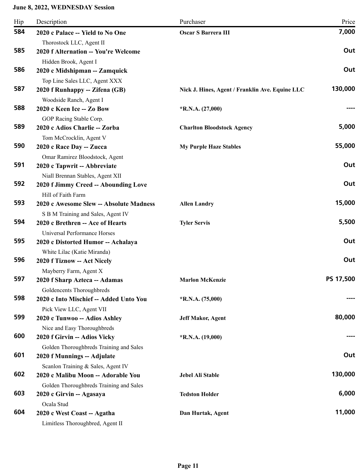| Hip | Description                                                | Purchaser                                       | Price     |
|-----|------------------------------------------------------------|-------------------------------------------------|-----------|
| 584 | 2020 c Palace -- Yield to No One                           | <b>Oscar S Barrera III</b>                      | 7,000     |
|     | Thorostock LLC, Agent II                                   |                                                 |           |
| 585 | 2020 f Alternation -- You're Welcome                       |                                                 | Out       |
|     | Hidden Brook, Agent I                                      |                                                 |           |
| 586 | 2020 c Midshipman -- Zamquick                              |                                                 | Out       |
|     | Top Line Sales LLC, Agent XXX                              |                                                 |           |
| 587 | 2020 f Runhappy -- Zifena (GB)                             | Nick J. Hines, Agent / Franklin Ave. Equine LLC | 130,000   |
|     | Woodside Ranch, Agent I                                    |                                                 |           |
| 588 | 2020 c Keen Ice -- Zo Bow                                  | $*R.N.A. (27,000)$                              |           |
|     | GOP Racing Stable Corp.                                    |                                                 |           |
| 589 | 2020 c Adios Charlie -- Zorba                              | <b>Charlton Bloodstock Agency</b>               | 5,000     |
|     | Tom McCrocklin, Agent V                                    |                                                 |           |
| 590 | 2020 c Race Day -- Zucca                                   | <b>My Purple Haze Stables</b>                   | 55,000    |
|     | Omar Ramirez Bloodstock, Agent                             |                                                 |           |
| 591 | 2020 c Tapwrit -- Abbreviate                               |                                                 | Out       |
|     | Niall Brennan Stables, Agent XII                           |                                                 |           |
| 592 | 2020 f Jimmy Creed -- Abounding Love                       |                                                 | Out       |
|     | Hill of Faith Farm                                         |                                                 |           |
| 593 | 2020 c Awesome Slew -- Absolute Madness                    | <b>Allen Landry</b>                             | 15,000    |
| 594 | S B M Training and Sales, Agent IV                         |                                                 | 5,500     |
|     | 2020 c Brethren -- Ace of Hearts                           | <b>Tyler Servis</b>                             |           |
| 595 | Universal Performance Horses                               |                                                 | Out       |
|     | 2020 c Distorted Humor -- Achalaya                         |                                                 |           |
| 596 | White Lilac (Katie Miranda)<br>2020 f Tiznow -- Act Nicely |                                                 | Out       |
|     |                                                            |                                                 |           |
| 597 | Mayberry Farm, Agent X<br>2020 f Sharp Azteca -- Adamas    | <b>Marlon McKenzie</b>                          | PS 17,500 |
|     | Goldencents Thoroughbreds                                  |                                                 |           |
| 598 | 2020 c Into Mischief -- Added Unto You                     | *R.N.A. (75,000)                                |           |
|     | Pick View LLC, Agent VII                                   |                                                 |           |
| 599 | 2020 c Tunwoo -- Adios Ashley                              | <b>Jeff Makor, Agent</b>                        | 80,000    |
|     | Nice and Easy Thoroughbreds                                |                                                 |           |
| 600 | 2020 f Girvin -- Adios Vicky                               | $*R.N.A. (19,000)$                              |           |
|     | Golden Thoroughbreds Training and Sales                    |                                                 |           |
| 601 | 2020 f Munnings -- Adjulate                                |                                                 | Out       |
|     | Scanlon Training & Sales, Agent IV                         |                                                 |           |
| 602 | 2020 c Malibu Moon -- Adorable You                         | Jebel Ali Stable                                | 130,000   |
|     | Golden Thoroughbreds Training and Sales                    |                                                 |           |
| 603 | 2020 c Girvin -- Agasaya                                   | <b>Tedston Holder</b>                           | 6,000     |
|     | Ocala Stud                                                 |                                                 |           |
| 604 | 2020 c West Coast -- Agatha                                | Dan Hurtak, Agent                               | 11,000    |
|     | Limitless Thoroughbred, Agent II                           |                                                 |           |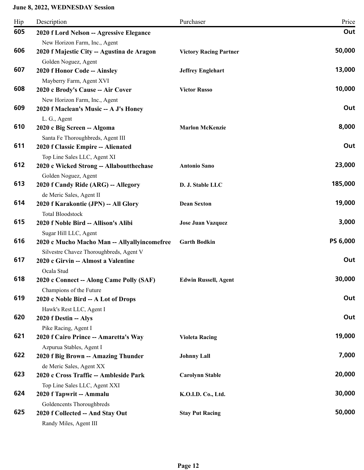| Hip | Description                                                                             | Purchaser                     | Price    |
|-----|-----------------------------------------------------------------------------------------|-------------------------------|----------|
| 605 | 2020 f Lord Nelson -- Agressive Elegance                                                |                               | Out      |
| 606 | New Horizon Farm, Inc., Agent<br>2020 f Majestic City -- Agustina de Aragon             | <b>Victory Racing Partner</b> | 50,000   |
| 607 | Golden Noguez, Agent<br>2020 f Honor Code -- Ainsley                                    | <b>Jeffrey Englehart</b>      | 13,000   |
| 608 | Mayberry Farm, Agent XVI<br>2020 c Brody's Cause -- Air Cover                           | <b>Victor Russo</b>           | 10,000   |
| 609 | New Horizon Farm, Inc., Agent<br>2020 f Maclean's Music -- A J's Honey                  |                               | Out      |
| 610 | L. G., Agent<br>2020 c Big Screen -- Algoma<br>Santa Fe Thoroughbreds, Agent III        | <b>Marlon McKenzie</b>        | 8,000    |
| 611 | 2020 f Classic Empire -- Alienated<br>Top Line Sales LLC, Agent XI                      |                               | Out      |
| 612 | 2020 c Wicked Strong -- Allaboutthechase<br>Golden Noguez, Agent                        | <b>Antonio Sano</b>           | 23,000   |
| 613 | 2020 f Candy Ride (ARG) -- Allegory<br>de Meric Sales, Agent II                         | D. J. Stable LLC              | 185,000  |
| 614 | 2020 f Karakontie (JPN) -- All Glory<br><b>Total Bloodstock</b>                         | <b>Dean Sexton</b>            | 19,000   |
| 615 | 2020 f Noble Bird -- Allison's Alibi<br>Sugar Hill LLC, Agent                           | <b>Jose Juan Vazquez</b>      | 3,000    |
| 616 | 2020 c Mucho Macho Man -- Allyallyincomefree<br>Silvestre Chavez Thoroughbreds, Agent V | <b>Garth Bodkin</b>           | PS 6,000 |
| 617 | 2020 c Girvin -- Almost a Valentine<br>Ocala Stud                                       |                               | Out      |
| 618 | 2020 c Connect -- Along Came Polly (SAF)<br>Champions of the Future                     | <b>Edwin Russell, Agent</b>   | 30,000   |
| 619 | 2020 c Noble Bird -- A Lot of Drops<br>Hawk's Rest LLC, Agent I                         |                               | Out      |
| 620 | 2020 f Destin -- Alys<br>Pike Racing, Agent I                                           |                               | Out      |
| 621 | 2020 f Cairo Prince -- Amaretta's Way<br>Azpurua Stables, Agent I                       | <b>Violeta Racing</b>         | 19,000   |
| 622 | 2020 f Big Brown -- Amazing Thunder<br>de Meric Sales, Agent XX                         | <b>Johnny Lall</b>            | 7,000    |
| 623 | 2020 c Cross Traffic -- Ambleside Park                                                  | <b>Carolynn Stable</b>        | 20,000   |
| 624 | Top Line Sales LLC, Agent XXI<br>2020 f Tapwrit -- Ammalu                               | K.O.I.D. Co., Ltd.            | 30,000   |
| 625 | Goldencents Thoroughbreds<br>2020 f Collected -- And Stay Out<br>Randy Miles, Agent III | <b>Stay Put Racing</b>        | 50,000   |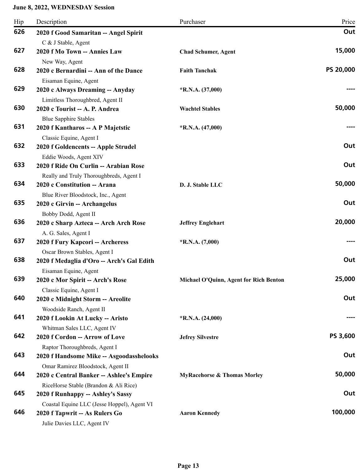| Hip | Description                                                                       | Purchaser                              | Price           |
|-----|-----------------------------------------------------------------------------------|----------------------------------------|-----------------|
| 626 | 2020 f Good Samaritan -- Angel Spirit                                             |                                        | Out             |
| 627 | C & J Stable, Agent<br>2020 f Mo Town -- Annies Law                               | <b>Chad Schumer, Agent</b>             | 15,000          |
| 628 | New Way, Agent<br>2020 c Bernardini -- Ann of the Dance<br>Eisaman Equine, Agent  | <b>Faith Tanchak</b>                   | PS 20,000       |
| 629 | 2020 c Always Dreaming -- Anyday<br>Limitless Thoroughbred, Agent II              | $*R.N.A. (37,000)$                     |                 |
| 630 | 2020 c Tourist -- A. P. Andrea<br><b>Blue Sapphire Stables</b>                    | <b>Wachtel Stables</b>                 | 50,000          |
| 631 | 2020 f Kantharos -- A P Majetstic<br>Classic Equine, Agent I                      | $*$ R.N.A. $(47,000)$                  |                 |
| 632 | 2020 f Goldencents -- Apple Strudel<br>Eddie Woods, Agent XIV                     |                                        | Out             |
| 633 | 2020 f Ride On Curlin -- Arabian Rose<br>Really and Truly Thoroughbreds, Agent I  |                                        | Out             |
| 634 | 2020 c Constitution -- Arana<br>Blue River Bloodstock, Inc., Agent                | D. J. Stable LLC                       | 50,000          |
| 635 | 2020 c Girvin -- Archangelus<br>Bobby Dodd, Agent II                              |                                        | Out             |
| 636 | 2020 c Sharp Azteca -- Arch Arch Rose<br>A. G. Sales, Agent I                     | <b>Jeffrey Englehart</b>               | 20,000          |
| 637 | 2020 f Fury Kapcori -- Archeress<br>Oscar Brown Stables, Agent I                  | $*R.N.A. (7,000)$                      |                 |
| 638 | 2020 f Medaglia d'Oro -- Arch's Gal Edith<br>Eisaman Equine, Agent                |                                        | Out             |
| 639 | 2020 c Mor Spirit -- Arch's Rose<br>Classic Equine, Agent I                       | Michael O'Quinn, Agent for Rich Benton | 25,000          |
| 640 | 2020 c Midnight Storm -- Areolite<br>Woodside Ranch, Agent II                     |                                        | Out             |
| 641 | 2020 f Lookin At Lucky -- Aristo<br>Whitman Sales LLC, Agent IV                   | $*R.N.A. (24,000)$                     |                 |
| 642 | 2020 f Cordon -- Arrow of Love<br>Raptor Thoroughbreds, Agent I                   | <b>Jefrey Silvestre</b>                | <b>PS 3,600</b> |
| 643 | 2020 f Handsome Mike -- Asgoodasshelooks<br>Omar Ramirez Bloodstock, Agent II     |                                        | Out             |
| 644 | 2020 c Central Banker -- Ashlee's Empire<br>RiceHorse Stable (Brandon & Ali Rice) | <b>MyRacehorse &amp; Thomas Morley</b> | 50,000          |
| 645 | 2020 f Runhappy -- Ashley's Sassy<br>Coastal Equine LLC (Jesse Hoppel), Agent VI  |                                        | Out             |
| 646 | 2020 f Tapwrit -- As Rulers Go<br>Julie Davies LLC, Agent IV                      | <b>Aaron Kennedy</b>                   | 100,000         |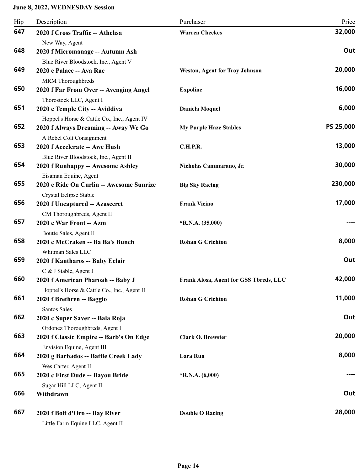| Hip | Description                                               | Purchaser                              | Price     |
|-----|-----------------------------------------------------------|----------------------------------------|-----------|
| 647 | 2020 f Cross Traffic -- Athehsa                           | <b>Warren Cheekes</b>                  | 32,000    |
|     | New Way, Agent                                            |                                        |           |
| 648 | 2020 f Micromanage -- Autumn Ash                          |                                        | Out       |
|     | Blue River Bloodstock, Inc., Agent V                      |                                        |           |
| 649 | 2020 c Palace -- Ava Rae                                  | <b>Weston, Agent for Troy Johnson</b>  | 20,000    |
|     | MRM Thoroughbreds                                         |                                        |           |
| 650 | 2020 f Far From Over -- Avenging Angel                    | <b>Expoline</b>                        | 16,000    |
|     | Thorostock LLC, Agent I                                   |                                        |           |
| 651 | 2020 c Temple City -- Aviddiva                            | Daniela Moquel                         | 6,000     |
| 652 | Hoppel's Horse & Cattle Co., Inc., Agent IV               |                                        | PS 25,000 |
|     | 2020 f Always Dreaming -- Away We Go                      | <b>My Purple Haze Stables</b>          |           |
| 653 | A Rebel Colt Consignment<br>2020 f Accelerate -- Awe Hush | <b>C.H.P.R.</b>                        | 13,000    |
|     | Blue River Bloodstock, Inc., Agent II                     |                                        |           |
| 654 | 2020 f Runhappy -- Awesome Ashley                         | Nicholas Cammarano, Jr.                | 30,000    |
|     | Eisaman Equine, Agent                                     |                                        |           |
| 655 | 2020 c Ride On Curlin -- Awesome Sunrize                  | <b>Big Sky Racing</b>                  | 230,000   |
|     | Crystal Eclipse Stable                                    |                                        |           |
| 656 | 2020 f Uncaptured -- Azasecret                            | <b>Frank Vicino</b>                    | 17,000    |
|     | CM Thoroughbreds, Agent II                                |                                        |           |
| 657 | 2020 c War Front -- Azm                                   | $*R.N.A. (35,000)$                     |           |
|     | Boutte Sales, Agent II                                    |                                        |           |
| 658 | 2020 c McCraken -- Ba Ba's Bunch                          | <b>Rohan G Crichton</b>                | 8,000     |
|     | Whitman Sales LLC                                         |                                        |           |
| 659 | 2020 f Kantharos -- Baby Eclair                           |                                        | Out       |
|     | C & J Stable, Agent I                                     |                                        |           |
| 660 | 2020 f American Pharoah -- Baby J                         | Frank Alosa, Agent for GSS Tbreds, LLC | 42,000    |
| 661 | Hoppel's Horse & Cattle Co., Inc., Agent II               |                                        | 11,000    |
|     | 2020 f Brethren -- Baggio<br>Santos Sales                 | <b>Rohan G Crichton</b>                |           |
| 662 | 2020 c Super Saver -- Bala Roja                           |                                        | Out       |
|     | Ordonez Thoroughbreds, Agent I                            |                                        |           |
| 663 | 2020 f Classic Empire -- Barb's On Edge                   | <b>Clark O. Brewster</b>               | 20,000    |
|     | Envision Equine, Agent III                                |                                        |           |
| 664 | 2020 g Barbados -- Battle Creek Lady                      | Lara Run                               | 8,000     |
|     | Wes Carter, Agent II                                      |                                        |           |
| 665 | 2020 c First Dude -- Bayou Bride                          | *R.N.A. $(6,000)$                      |           |
|     | Sugar Hill LLC, Agent II                                  |                                        |           |
| 666 | Withdrawn                                                 |                                        | Out       |
| 667 | 2020 f Bolt d'Oro -- Bay River                            | <b>Double O Racing</b>                 | 28,000    |
|     | Little Farm Equine LLC, Agent II                          |                                        |           |
|     |                                                           |                                        |           |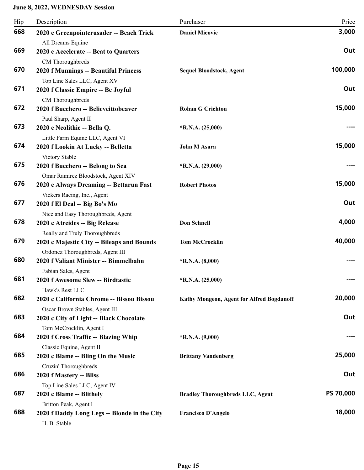| Hip | Description                                                                           | Purchaser                                 | Price            |
|-----|---------------------------------------------------------------------------------------|-------------------------------------------|------------------|
| 668 | 2020 c Greenpointcrusader -- Beach Trick<br>All Dreams Equine                         | <b>Daniel Micovic</b>                     | 3,000            |
| 669 | 2020 c Accelerate -- Beat to Quarters<br>CM Thoroughbreds                             |                                           | Out              |
| 670 | 2020 f Munnings -- Beautiful Princess<br>Top Line Sales LLC, Agent XV                 | <b>Sequel Bloodstock, Agent</b>           | 100,000          |
| 671 | 2020 f Classic Empire -- Be Joyful<br>CM Thoroughbreds                                |                                           | Out              |
| 672 | 2020 f Bucchero -- Believeittobeaver<br>Paul Sharp, Agent II                          | <b>Rohan G Crichton</b>                   | 15,000           |
| 673 | 2020 c Neolithic -- Bella Q.<br>Little Farm Equine LLC, Agent VI                      | $*R.N.A. (25,000)$                        |                  |
| 674 | 2020 f Lookin At Lucky -- Belletta<br>Victory Stable                                  | John M Asara                              | 15,000           |
| 675 | 2020 f Bucchero -- Belong to Sea<br>Omar Ramirez Bloodstock, Agent XIV                | $*R.N.A. (29,000)$                        |                  |
| 676 | 2020 c Always Dreaming -- Bettarun Fast<br>Vickers Racing, Inc., Agent                | <b>Robert Photos</b>                      | 15,000           |
| 677 | 2020 f El Deal -- Big Bo's Mo<br>Nice and Easy Thoroughbreds, Agent                   |                                           | Out              |
| 678 | 2020 c Atreides -- Big Release<br>Really and Truly Thoroughbreds                      | <b>Don Schnell</b>                        | 4,000            |
| 679 | 2020 c Majestic City -- Bileaps and Bounds<br>Ordonez Thoroughbreds, Agent III        | <b>Tom McCrocklin</b>                     | 40,000           |
| 680 | 2020 f Valiant Minister -- Bimmelbahn<br>Fabian Sales, Agent                          | $*R.N.A. (8,000)$                         |                  |
| 681 | 2020 f Awesome Slew -- Birdtastic<br>Hawk's Rest LLC                                  | $*R.N.A. (25,000)$                        |                  |
| 682 | 2020 c California Chrome -- Bissou Bissou<br>Oscar Brown Stables, Agent III           | Kathy Mongeon, Agent for Alfred Bogdanoff | 20,000           |
| 683 | 2020 c City of Light -- Black Chocolate<br>Tom McCrocklin, Agent I                    |                                           | Out              |
| 684 | 2020 f Cross Traffic -- Blazing Whip<br>Classic Equine, Agent II                      | $*R.N.A. (9,000)$                         |                  |
| 685 | 2020 c Blame -- Bling On the Music<br>Cruzin' Thoroughbreds                           | <b>Brittany Vandenberg</b>                | 25,000           |
| 686 | 2020 f Mastery -- Bliss<br>Top Line Sales LLC, Agent IV                               |                                           | Out              |
| 687 | 2020 c Blame -- Blithely                                                              | <b>Bradley Thoroughbreds LLC, Agent</b>   | <b>PS 70,000</b> |
| 688 | Britton Peak, Agent I<br>2020 f Daddy Long Legs -- Blonde in the City<br>H. B. Stable | <b>Francisco D'Angelo</b>                 | 18,000           |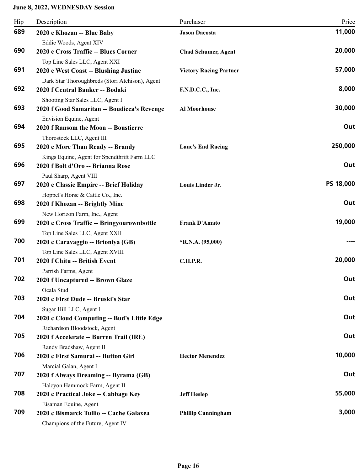| Hip | Description                                                                     | Purchaser                     | Price     |
|-----|---------------------------------------------------------------------------------|-------------------------------|-----------|
| 689 | 2020 c Khozan -- Blue Baby                                                      | <b>Jason Dacosta</b>          | 11,000    |
|     | Eddie Woods, Agent XIV                                                          |                               |           |
| 690 | 2020 c Cross Traffic -- Blues Corner                                            | <b>Chad Schumer, Agent</b>    | 20,000    |
|     | Top Line Sales LLC, Agent XXI                                                   |                               |           |
| 691 | 2020 c West Coast -- Blushing Justine                                           | <b>Victory Racing Partner</b> | 57,000    |
| 692 | Dark Star Thoroughbreds (Stori Atchison), Agent                                 |                               | 8,000     |
|     | 2020 f Central Banker -- Bodaki                                                 | F.N.D.C.C., Inc.              |           |
| 693 | Shooting Star Sales LLC, Agent I<br>2020 f Good Samaritan -- Boudicea's Revenge | Al Moorhouse                  | 30,000    |
|     | Envision Equine, Agent                                                          |                               |           |
| 694 | 2020 f Ransom the Moon -- Boustierre                                            |                               | Out       |
|     | Thorostock LLC, Agent III                                                       |                               |           |
| 695 | 2020 c More Than Ready -- Brandy                                                | <b>Lane's End Racing</b>      | 250,000   |
|     | Kings Equine, Agent for Spendthrift Farm LLC                                    |                               |           |
| 696 | 2020 f Bolt d'Oro -- Brianna Rose                                               |                               | Out       |
|     | Paul Sharp, Agent VIII                                                          |                               |           |
| 697 | 2020 c Classic Empire -- Brief Holiday                                          | Louis Linder Jr.              | PS 18,000 |
|     | Hoppel's Horse & Cattle Co., Inc.                                               |                               |           |
| 698 | 2020 f Khozan -- Brightly Mine                                                  |                               | Out       |
|     | New Horizon Farm, Inc., Agent                                                   |                               |           |
| 699 | 2020 c Cross Traffic -- Bringyourownbottle                                      | <b>Frank D'Amato</b>          | 19,000    |
|     | Top Line Sales LLC, Agent XXII                                                  |                               |           |
| 700 | 2020 c Caravaggio -- Brioniya (GB)                                              | $*$ R.N.A. (95,000)           |           |
| 701 | Top Line Sales LLC, Agent XVIII<br>2020 f Chitu -- British Event                | <b>C.H.P.R.</b>               | 20,000    |
|     | Parrish Farms, Agent                                                            |                               |           |
| 702 | 2020 f Uncaptured -- Brown Glaze                                                |                               | Out       |
|     | Ocala Stud                                                                      |                               |           |
| 703 | 2020 c First Dude -- Bruski's Star                                              |                               | Out       |
|     | Sugar Hill LLC, Agent I                                                         |                               |           |
| 704 | 2020 c Cloud Computing -- Bud's Little Edge                                     |                               | Out       |
|     | Richardson Bloodstock, Agent                                                    |                               |           |
| 705 | 2020 f Accelerate -- Burren Trail (IRE)                                         |                               | Out       |
|     | Randy Bradshaw, Agent II                                                        |                               |           |
| 706 | 2020 c First Samurai -- Button Girl                                             | <b>Hector Menendez</b>        | 10,000    |
|     | Marcial Galan, Agent I                                                          |                               |           |
| 707 | 2020 f Always Dreaming -- Byrama (GB)                                           |                               | Out       |
|     | Halcyon Hammock Farm, Agent II                                                  |                               |           |
| 708 | 2020 c Practical Joke -- Cabbage Key                                            | <b>Jeff Heslep</b>            | 55,000    |
| 709 | Eisaman Equine, Agent                                                           |                               |           |
|     | 2020 c Bismarck Tullio -- Cache Galaxea                                         | <b>Phillip Cunningham</b>     | 3,000     |
|     | Champions of the Future, Agent IV                                               |                               |           |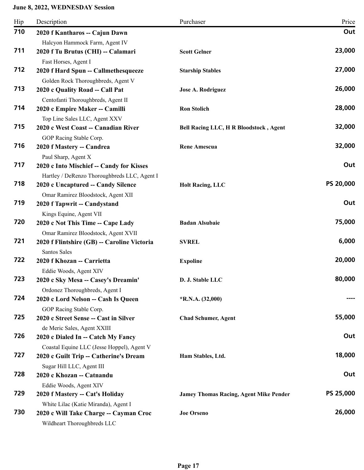| Hip | Description                                                                                                 | Purchaser                                     | Price     |
|-----|-------------------------------------------------------------------------------------------------------------|-----------------------------------------------|-----------|
| 710 | 2020 f Kantharos -- Cajun Dawn                                                                              |                                               | Out       |
| 711 | Halcyon Hammock Farm, Agent IV<br>2020 f Tu Brutus (CHI) -- Calamari                                        | <b>Scott Gelner</b>                           | 23,000    |
| 712 | Fast Horses, Agent I<br>2020 f Hard Spun -- Callmethesqueeze                                                | <b>Starship Stables</b>                       | 27,000    |
| 713 | Golden Rock Thoroughbreds, Agent V<br>2020 c Quality Road -- Call Pat<br>Centofanti Thoroughbreds, Agent II | Jose A. Rodriguez                             | 26,000    |
| 714 | 2020 c Empire Maker -- Camilli<br>Top Line Sales LLC, Agent XXV                                             | <b>Ron Stolich</b>                            | 28,000    |
| 715 | 2020 c West Coast -- Canadian River<br>GOP Racing Stable Corp.                                              | <b>Bell Racing LLC, H R Bloodstock, Agent</b> | 32,000    |
| 716 | 2020 f Mastery -- Candrea<br>Paul Sharp, Agent X                                                            | <b>Rene Amescua</b>                           | 32,000    |
| 717 | 2020 c Into Mischief -- Candy for Kisses<br>Hartley / DeRenzo Thoroughbreds LLC, Agent I                    |                                               | Out       |
| 718 | 2020 c Uncaptured -- Candy Silence<br>Omar Ramirez Bloodstock, Agent XII                                    | <b>Holt Racing, LLC</b>                       | PS 20,000 |
| 719 | 2020 f Tapwrit -- Candystand<br>Kings Equine, Agent VII                                                     |                                               | Out       |
| 720 | 2020 c Not This Time -- Cape Lady<br>Omar Ramirez Bloodstock, Agent XVII                                    | <b>Badan Alsubaie</b>                         | 75,000    |
| 721 | 2020 f Flintshire (GB) -- Caroline Victoria<br><b>Santos Sales</b>                                          | <b>SVREL</b>                                  | 6,000     |
| 722 | 2020 f Khozan -- Carrietta<br>Eddie Woods, Agent XIV                                                        | <b>Expoline</b>                               | 20,000    |
| 723 | 2020 c Sky Mesa -- Casey's Dreamin'<br>Ordonez Thoroughbreds, Agent I                                       | D. J. Stable LLC                              | 80,000    |
| 724 | 2020 c Lord Nelson -- Cash Is Queen<br>GOP Racing Stable Corp.                                              | $*R.N.A. (32,000)$                            |           |
| 725 | 2020 c Street Sense -- Cast in Silver<br>de Meric Sales, Agent XXIII                                        | <b>Chad Schumer, Agent</b>                    | 55,000    |
| 726 | 2020 c Dialed In -- Catch My Fancy<br>Coastal Equine LLC (Jesse Hoppel), Agent V                            |                                               | Out       |
| 727 | 2020 c Guilt Trip -- Catherine's Dream<br>Sugar Hill LLC, Agent III                                         | Ham Stables, Ltd.                             | 18,000    |
| 728 | 2020 c Khozan -- Catnandu<br>Eddie Woods, Agent XIV                                                         |                                               | Out       |
| 729 | 2020 f Mastery -- Cat's Holiday<br>White Lilac (Katie Miranda), Agent I                                     | <b>Jamey Thomas Racing, Agent Mike Pender</b> | PS 25,000 |
| 730 | 2020 c Will Take Charge -- Cayman Croc<br>Wildheart Thoroughbreds LLC                                       | <b>Joe Orseno</b>                             | 26,000    |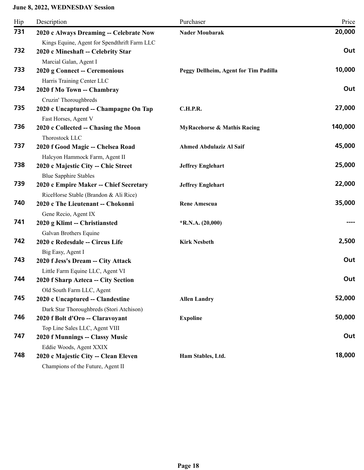| Hip | Description                                                             | Purchaser                              | Price   |
|-----|-------------------------------------------------------------------------|----------------------------------------|---------|
| 731 | 2020 c Always Dreaming -- Celebrate Now                                 | <b>Nader Moubarak</b>                  | 20,000  |
|     | Kings Equine, Agent for Spendthrift Farm LLC                            |                                        |         |
| 732 | 2020 c Mineshaft -- Celebrity Star                                      |                                        | Out     |
|     | Marcial Galan, Agent I                                                  |                                        |         |
| 733 | 2020 g Connect -- Ceremonious                                           | Peggy Dellheim, Agent for Tim Padilla  | 10,000  |
|     | Harris Training Center LLC                                              |                                        |         |
| 734 | 2020 f Mo Town -- Chambray                                              |                                        | Out     |
| 735 | Cruzin' Thoroughbreds                                                   |                                        | 27,000  |
|     | 2020 c Uncaptured -- Champagne On Tap                                   | <b>C.H.P.R.</b>                        |         |
| 736 | Fast Horses, Agent V<br>2020 c Collected -- Chasing the Moon            | <b>MyRacehorse &amp; Mathis Racing</b> | 140,000 |
|     | Thorostock LLC                                                          |                                        |         |
| 737 | 2020 f Good Magic -- Chelsea Road                                       | <b>Ahmed Abdulaziz Al Saif</b>         | 45,000  |
|     | Halcyon Hammock Farm, Agent II                                          |                                        |         |
| 738 | 2020 c Majestic City -- Chic Street                                     | <b>Jeffrey Englehart</b>               | 25,000  |
|     | <b>Blue Sapphire Stables</b>                                            |                                        |         |
| 739 | 2020 c Empire Maker -- Chief Secretary                                  | <b>Jeffrey Englehart</b>               | 22,000  |
|     | RiceHorse Stable (Brandon & Ali Rice)                                   |                                        |         |
| 740 | 2020 c The Lieutenant -- Chokonni                                       | <b>Rene Amescua</b>                    | 35,000  |
|     | Gene Recio, Agent IX                                                    |                                        |         |
| 741 | 2020 g Klimt -- Christiansted                                           | *R.N.A. (20,000)                       |         |
|     | Galvan Brothers Equine                                                  |                                        |         |
| 742 | 2020 c Redesdale -- Circus Life                                         | <b>Kirk Nesbeth</b>                    | 2,500   |
| 743 | Big Easy, Agent I                                                       |                                        | Out     |
|     | 2020 f Jess's Dream -- City Attack                                      |                                        |         |
| 744 | Little Farm Equine LLC, Agent VI<br>2020 f Sharp Azteca -- City Section |                                        | Out     |
|     | Old South Farm LLC, Agent                                               |                                        |         |
| 745 | 2020 c Uncaptured -- Clandestine                                        | <b>Allen Landry</b>                    | 52,000  |
|     | Dark Star Thoroughbreds (Stori Atchison)                                |                                        |         |
| 746 | 2020 f Bolt d'Oro -- Claravoyant                                        | <b>Expoline</b>                        | 50,000  |
|     | Top Line Sales LLC, Agent VIII                                          |                                        |         |
| 747 | 2020 f Munnings -- Classy Music                                         |                                        | Out     |
|     | Eddie Woods, Agent XXIX                                                 |                                        |         |
| 748 | 2020 c Majestic City -- Clean Eleven                                    | Ham Stables, Ltd.                      | 18,000  |
|     | Champions of the Future, Agent II                                       |                                        |         |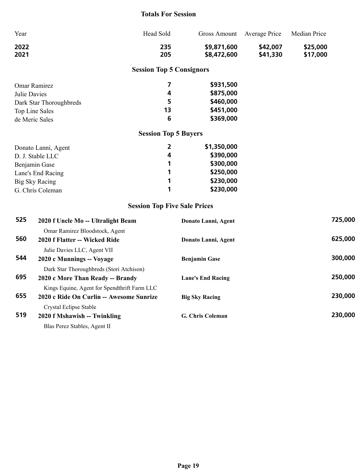#### **Totals For Session**

| Year                |                                    | Head Sold                           | <b>Gross Amount</b>        | Average Price        | Median Price         |         |
|---------------------|------------------------------------|-------------------------------------|----------------------------|----------------------|----------------------|---------|
| 2022<br>2021        |                                    | 235<br>205                          | \$9,871,600<br>\$8,472,600 | \$42,007<br>\$41,330 | \$25,000<br>\$17,000 |         |
|                     |                                    | <b>Session Top 5 Consignors</b>     |                            |                      |                      |         |
|                     | <b>Omar Ramirez</b>                | 7                                   | \$931,500                  |                      |                      |         |
| <b>Julie Davies</b> |                                    | 4                                   | \$875,000                  |                      |                      |         |
|                     | Dark Star Thoroughbreds            | 5                                   | \$460,000                  |                      |                      |         |
|                     | Top Line Sales                     | 13                                  | \$451,000                  |                      |                      |         |
|                     | de Meric Sales                     | 6                                   | \$369,000                  |                      |                      |         |
|                     |                                    | <b>Session Top 5 Buyers</b>         |                            |                      |                      |         |
|                     | Donato Lanni, Agent                | 2                                   | \$1,350,000                |                      |                      |         |
|                     | D. J. Stable LLC                   | 4                                   | \$390,000                  |                      |                      |         |
|                     | Benjamin Gase                      | 1                                   | \$300,000                  |                      |                      |         |
|                     | Lane's End Racing                  | 1                                   | \$250,000                  |                      |                      |         |
|                     | <b>Big Sky Racing</b>              | 1                                   | \$230,000                  |                      |                      |         |
|                     | G. Chris Coleman                   | 1                                   | \$230,000                  |                      |                      |         |
|                     |                                    | <b>Session Top Five Sale Prices</b> |                            |                      |                      |         |
| 525                 | 2020 f Uncle Mo -- Ultralight Beam |                                     | Donato Lanni, Agent        |                      |                      | 725,000 |
|                     | Omar Ramirez Bloodstock, Agent     |                                     |                            |                      |                      |         |
| 560                 | 2020 f Flatter -- Wicked Ride      |                                     | Donato Lanni, Agent        |                      |                      | 625,000 |
|                     | Julie Davies LLC, Agent VII        |                                     |                            |                      |                      |         |
| 544                 | 2020 c Munnings -- Voyage          |                                     | <b>Benjamin Gase</b>       |                      |                      | 300,000 |

Dark Star Thoroughbreds (Stori Atchison) **695 2020 c More Than Ready -- Brandy Lane's End Racing 250,000** Kings Equine, Agent for Spendthrift Farm LLC **655 2020 c Ride On Curlin -- Awesome Sunrize Big Sky Racing 230,000** Crystal Eclipse Stable **519 2020 f Mshawish -- Twinkling G. Chris Coleman 230,000**

Blas Perez Stables, Agent II